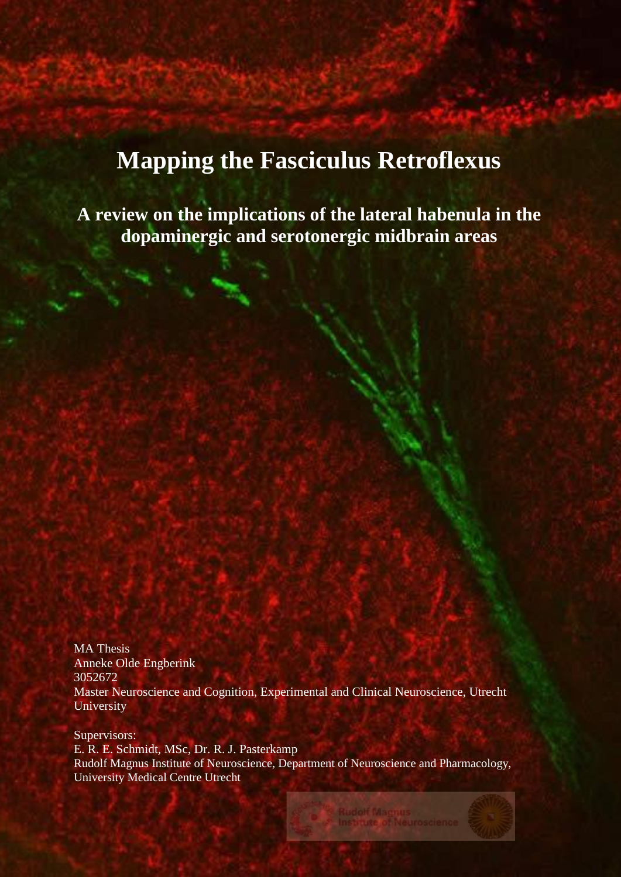# **Mapping the Fasciculus Retroflexus**

**A review on the implications of the lateral habenula in the dopaminergic and serotonergic midbrain areas**

MA Thesis Anneke Olde Engberink 3052672 Master Neuroscience and Cognition, Experimental and Clinical Neuroscience, Utrecht **University** 

Supervisors: E. R. E. Schmidt, MSc, Dr. R. J. Pasterkamp Rudolf Magnus Institute of Neuroscience, Department of Neuroscience and Pharmacology, University Medical Centre Utrecht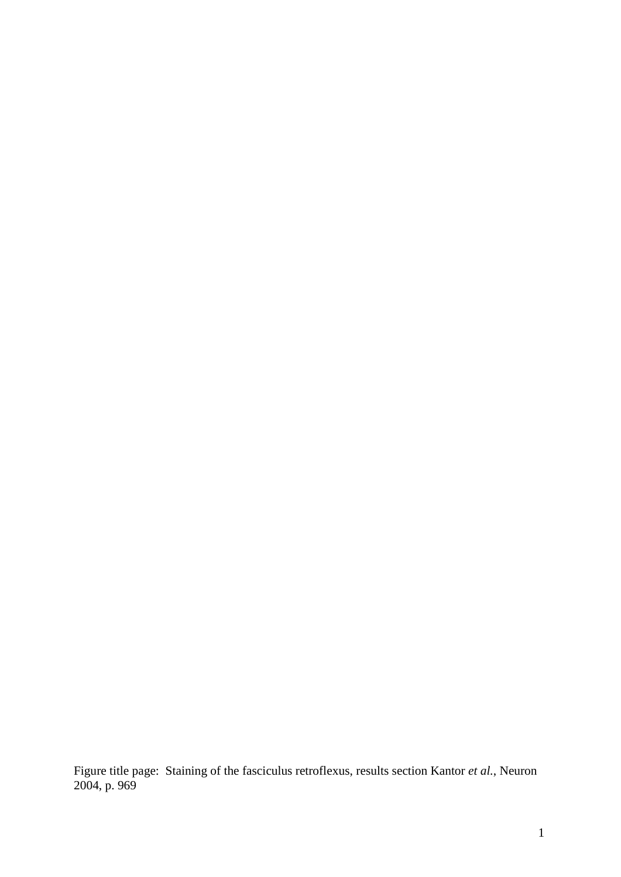Figure title page: Staining of the fasciculus retroflexus, results section Kantor *et al.*, Neuron 2004, p. 969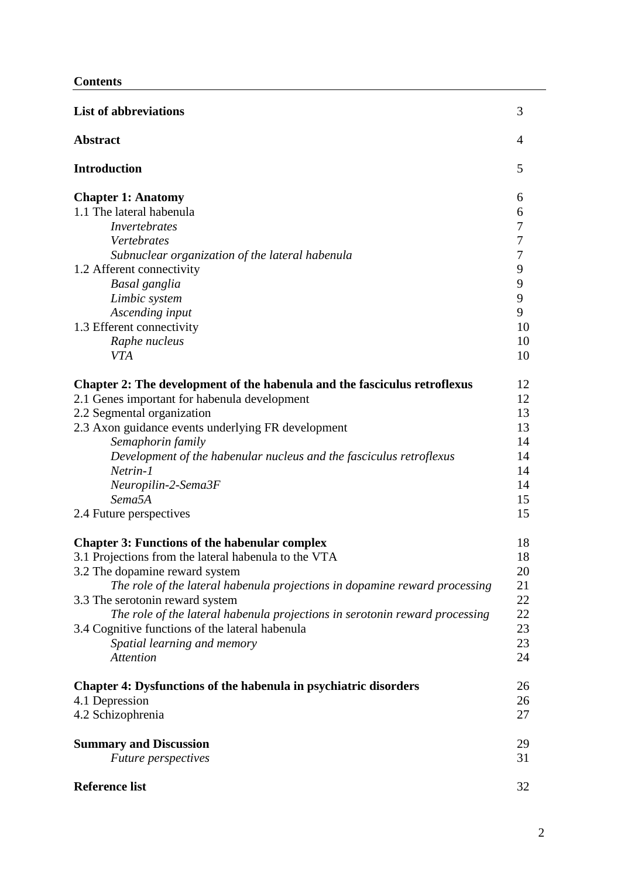| <b>Contents</b> |
|-----------------|
|-----------------|

| <b>List of abbreviations</b>                                                |          |
|-----------------------------------------------------------------------------|----------|
| <b>Abstract</b>                                                             | 4        |
| <b>Introduction</b>                                                         | 5        |
| <b>Chapter 1: Anatomy</b>                                                   | 6        |
| 1.1 The lateral habenula                                                    | 6        |
| <i>Invertebrates</i>                                                        | 7        |
| Vertebrates                                                                 | 7        |
| Subnuclear organization of the lateral habenula                             | 7        |
| 1.2 Afferent connectivity                                                   | 9        |
| Basal ganglia                                                               | 9        |
| Limbic system                                                               | 9        |
| Ascending input                                                             | 9        |
| 1.3 Efferent connectivity                                                   | 10       |
| Raphe nucleus<br><b>VTA</b>                                                 | 10<br>10 |
|                                                                             |          |
| Chapter 2: The development of the habenula and the fasciculus retroflexus   | 12       |
| 2.1 Genes important for habenula development                                | 12       |
| 2.2 Segmental organization                                                  | 13       |
| 2.3 Axon guidance events underlying FR development                          | 13       |
| Semaphorin family                                                           | 14       |
| Development of the habenular nucleus and the fasciculus retroflexus         | 14       |
| Netrin-1                                                                    | 14       |
| Neuropilin-2-Sema3F                                                         | 14       |
| Sema <sub>5</sub> A                                                         | 15       |
| 2.4 Future perspectives                                                     | 15       |
| <b>Chapter 3: Functions of the habenular complex</b>                        | 18       |
| 3.1 Projections from the lateral habenula to the VTA                        | 18       |
| 3.2 The dopamine reward system                                              | 20       |
| The role of the lateral habenula projections in dopamine reward processing  | 21       |
| 3.3 The serotonin reward system                                             | 22       |
| The role of the lateral habenula projections in serotonin reward processing | 22       |
| 3.4 Cognitive functions of the lateral habenula                             | 23       |
| Spatial learning and memory                                                 | 23       |
| <b>Attention</b>                                                            | 24       |
| <b>Chapter 4: Dysfunctions of the habenula in psychiatric disorders</b>     | 26       |
| 4.1 Depression                                                              | 26       |
| 4.2 Schizophrenia                                                           | 27       |
|                                                                             |          |
| <b>Summary and Discussion</b><br><b>Future perspectives</b>                 | 29<br>31 |
|                                                                             |          |
| <b>Reference list</b>                                                       | 32       |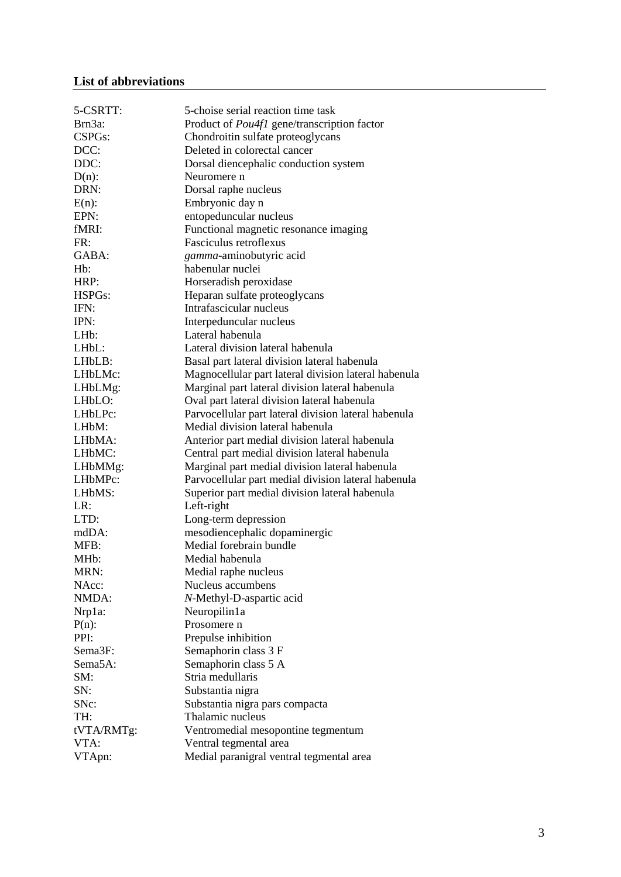# **List of abbreviations**

| 5-CSRTT:             | 5-choise serial reaction time task                   |
|----------------------|------------------------------------------------------|
| Brn3a:               | Product of <i>Pou4f1</i> gene/transcription factor   |
| CSPG <sub>s</sub> :  | Chondroitin sulfate proteoglycans                    |
| DCC:                 | Deleted in colorectal cancer                         |
| DDC:                 | Dorsal diencephalic conduction system                |
| $D(n)$ :             | Neuromere n                                          |
| DRN:                 | Dorsal raphe nucleus                                 |
| $E(n)$ :             | Embryonic day n                                      |
| EPN:                 | entopeduncular nucleus                               |
| fMRI:                | Functional magnetic resonance imaging                |
| FR:                  | Fasciculus retroflexus                               |
| GABA:                | gamma-aminobutyric acid                              |
| Hb:                  | habenular nuclei                                     |
| HRP:                 | Horseradish peroxidase                               |
| HSPG <sub>s</sub> :  | Heparan sulfate proteoglycans                        |
| IFN:                 | Intrafascicular nucleus                              |
| IPN:                 | Interpeduncular nucleus                              |
| LHb:                 | Lateral habenula                                     |
| LHbL:                | Lateral division lateral habenula                    |
| LHbLB:               | Basal part lateral division lateral habenula         |
| LHbLMc:              | Magnocellular part lateral division lateral habenula |
| LHbLMg:              | Marginal part lateral division lateral habenula      |
| LHbLO:               | Oval part lateral division lateral habenula          |
| LHbLPc:              | Parvocellular part lateral division lateral habenula |
| LHbM:                | Medial division lateral habenula                     |
| LHbMA:               | Anterior part medial division lateral habenula       |
| LHbMC:               | Central part medial division lateral habenula        |
| LHbMMg:              | Marginal part medial division lateral habenula       |
| LHbMPc:              | Parvocellular part medial division lateral habenula  |
| LHbMS:               | Superior part medial division lateral habenula       |
| LR:                  | Left-right                                           |
| LTD:                 | Long-term depression                                 |
| mdDA:                | mesodiencephalic dopaminergic                        |
| MFB:                 | Medial forebrain bundle                              |
| MH <sub>b</sub> :    | Medial habenula                                      |
| MRN:                 | Medial raphe nucleus                                 |
| NAcc:                | Nucleus accumbens                                    |
| NMDA:                | N-Methyl-D-aspartic acid                             |
| Nrp1a:               | Neuropilin1a                                         |
| $P(n)$ :             | Prosomere n                                          |
| PPI:                 | Prepulse inhibition                                  |
| Sema3F:              | Semaphorin class 3 F                                 |
| Sema <sub>5</sub> A: | Semaphorin class 5 A                                 |
| SM:                  | Stria medullaris                                     |
| SN:                  | Substantia nigra                                     |
| SNc:                 | Substantia nigra pars compacta                       |
| TH:                  | Thalamic nucleus                                     |
| tVTA/RMTg:           | Ventromedial mesopontine tegmentum                   |
| VTA:                 | Ventral tegmental area                               |
| VTApn:               | Medial paranigral ventral tegmental area             |
|                      |                                                      |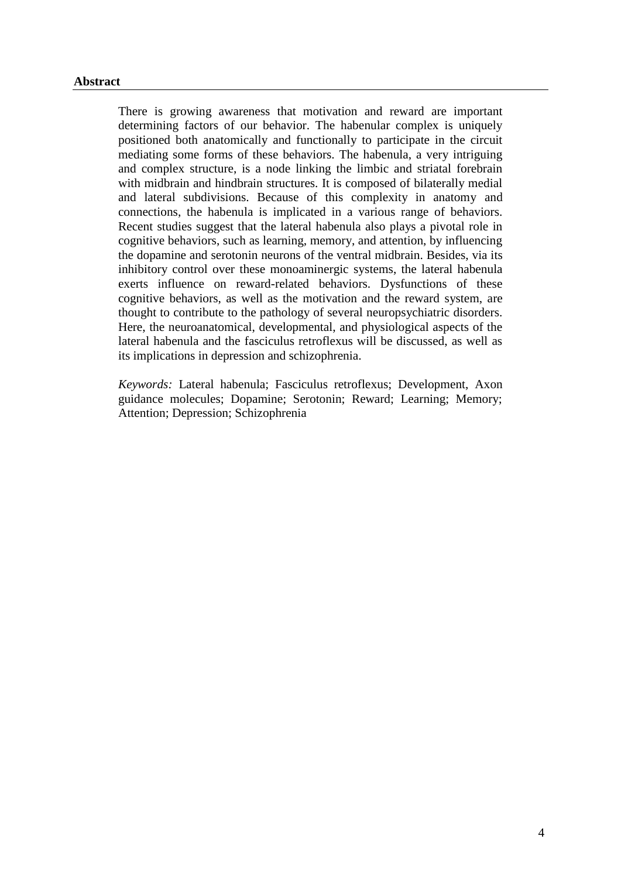## **Abstract**

There is growing awareness that motivation and reward are important determining factors of our behavior. The habenular complex is uniquely positioned both anatomically and functionally to participate in the circuit mediating some forms of these behaviors. The habenula, a very intriguing and complex structure, is a node linking the limbic and striatal forebrain with midbrain and hindbrain structures. It is composed of bilaterally medial and lateral subdivisions. Because of this complexity in anatomy and connections, the habenula is implicated in a various range of behaviors. Recent studies suggest that the lateral habenula also plays a pivotal role in cognitive behaviors, such as learning, memory, and attention, by influencing the dopamine and serotonin neurons of the ventral midbrain. Besides, via its inhibitory control over these monoaminergic systems, the lateral habenula exerts influence on reward-related behaviors. Dysfunctions of these cognitive behaviors, as well as the motivation and the reward system, are thought to contribute to the pathology of several neuropsychiatric disorders. Here, the neuroanatomical, developmental, and physiological aspects of the lateral habenula and the fasciculus retroflexus will be discussed, as well as its implications in depression and schizophrenia.

*Keywords:* Lateral habenula; Fasciculus retroflexus; Development, Axon guidance molecules; Dopamine; Serotonin; Reward; Learning; Memory; Attention; Depression; Schizophrenia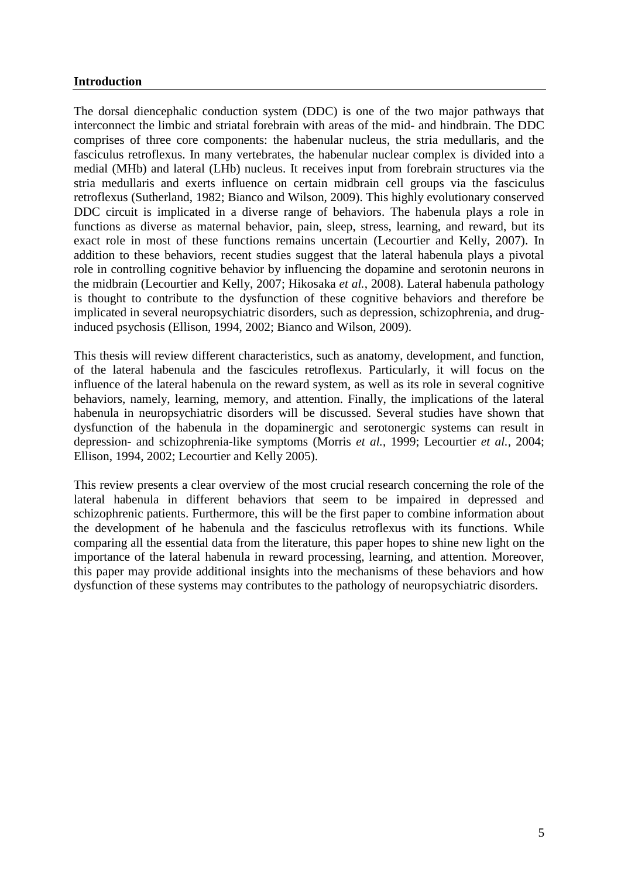# **Introduction**

The dorsal diencephalic conduction system (DDC) is one of the two major pathways that interconnect the limbic and striatal forebrain with areas of the mid- and hindbrain. The DDC comprises of three core components: the habenular nucleus, the stria medullaris, and the fasciculus retroflexus. In many vertebrates, the habenular nuclear complex is divided into a medial (MHb) and lateral (LHb) nucleus. It receives input from forebrain structures via the stria medullaris and exerts influence on certain midbrain cell groups via the fasciculus retroflexus (Sutherland, 1982; Bianco and Wilson, 2009). This highly evolutionary conserved DDC circuit is implicated in a diverse range of behaviors. The habenula plays a role in functions as diverse as maternal behavior, pain, sleep, stress, learning, and reward, but its exact role in most of these functions remains uncertain (Lecourtier and Kelly, 2007). In addition to these behaviors, recent studies suggest that the lateral habenula plays a pivotal role in controlling cognitive behavior by influencing the dopamine and serotonin neurons in the midbrain (Lecourtier and Kelly, 2007; Hikosaka *et al.*, 2008). Lateral habenula pathology is thought to contribute to the dysfunction of these cognitive behaviors and therefore be implicated in several neuropsychiatric disorders, such as depression, schizophrenia, and druginduced psychosis (Ellison, 1994, 2002; Bianco and Wilson, 2009).

This thesis will review different characteristics, such as anatomy, development, and function, of the lateral habenula and the fascicules retroflexus. Particularly, it will focus on the influence of the lateral habenula on the reward system, as well as its role in several cognitive behaviors, namely, learning, memory, and attention. Finally, the implications of the lateral habenula in neuropsychiatric disorders will be discussed. Several studies have shown that dysfunction of the habenula in the dopaminergic and serotonergic systems can result in depression- and schizophrenia-like symptoms (Morris *et al.*, 1999; Lecourtier *et al.*, 2004; Ellison, 1994, 2002; Lecourtier and Kelly 2005).

This review presents a clear overview of the most crucial research concerning the role of the lateral habenula in different behaviors that seem to be impaired in depressed and schizophrenic patients. Furthermore, this will be the first paper to combine information about the development of he habenula and the fasciculus retroflexus with its functions. While comparing all the essential data from the literature, this paper hopes to shine new light on the importance of the lateral habenula in reward processing, learning, and attention. Moreover, this paper may provide additional insights into the mechanisms of these behaviors and how dysfunction of these systems may contributes to the pathology of neuropsychiatric disorders.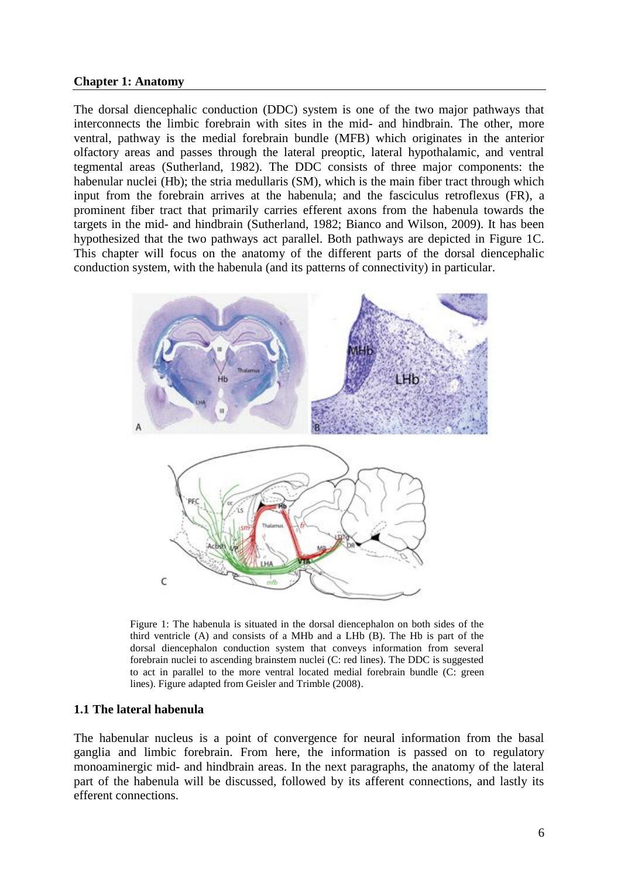#### **Chapter 1: Anatomy**

The dorsal diencephalic conduction (DDC) system is one of the two major pathways that interconnects the limbic forebrain with sites in the mid- and hindbrain. The other, more ventral, pathway is the medial forebrain bundle (MFB) which originates in the anterior olfactory areas and passes through the lateral preoptic, lateral hypothalamic, and ventral tegmental areas (Sutherland, 1982). The DDC consists of three major components: the habenular nuclei (Hb); the stria medullaris (SM), which is the main fiber tract through which input from the forebrain arrives at the habenula; and the fasciculus retroflexus (FR), a prominent fiber tract that primarily carries efferent axons from the habenula towards the targets in the mid- and hindbrain (Sutherland, 1982; Bianco and Wilson, 2009). It has been hypothesized that the two pathways act parallel. Both pathways are depicted in Figure 1C. This chapter will focus on the anatomy of the different parts of the dorsal diencephalic conduction system, with the habenula (and its patterns of connectivity) in particular.



Figure 1: The habenula is situated in the dorsal diencephalon on both sides of the third ventricle (A) and consists of a MHb and a LHb (B). The Hb is part of the dorsal diencephalon conduction system that conveys information from several forebrain nuclei to ascending brainstem nuclei (C: red lines). The DDC is suggested to act in parallel to the more ventral located medial forebrain bundle (C: green lines). Figure adapted from Geisler and Trimble (2008).

#### **1.1 The lateral habenula**

The habenular nucleus is a point of convergence for neural information from the basal ganglia and limbic forebrain. From here, the information is passed on to regulatory monoaminergic mid- and hindbrain areas. In the next paragraphs, the anatomy of the lateral part of the habenula will be discussed, followed by its afferent connections, and lastly its efferent connections.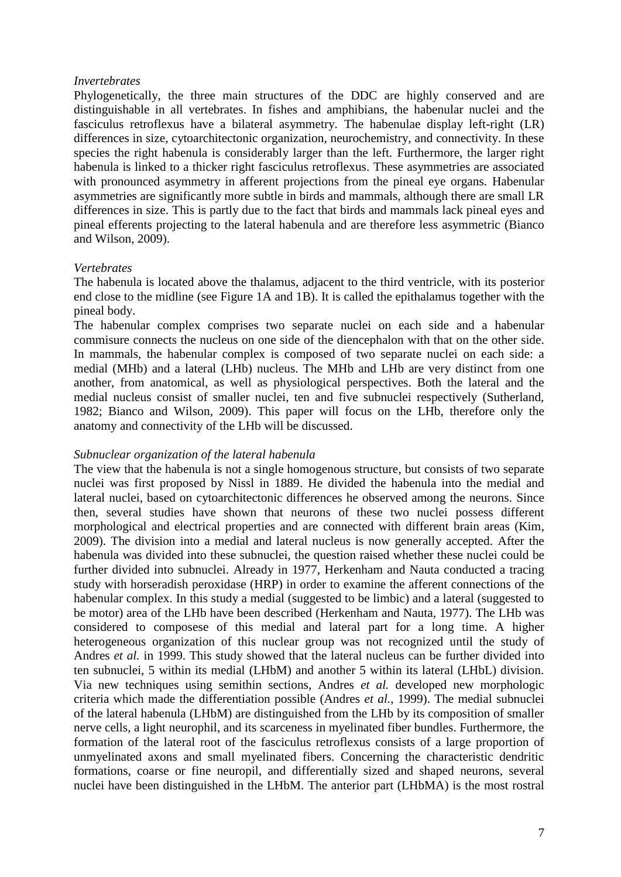### *Invertebrates*

Phylogenetically, the three main structures of the DDC are highly conserved and are distinguishable in all vertebrates. In fishes and amphibians, the habenular nuclei and the fasciculus retroflexus have a bilateral asymmetry. The habenulae display left-right (LR) differences in size, cytoarchitectonic organization, neurochemistry, and connectivity. In these species the right habenula is considerably larger than the left. Furthermore, the larger right habenula is linked to a thicker right fasciculus retroflexus. These asymmetries are associated with pronounced asymmetry in afferent projections from the pineal eye organs. Habenular asymmetries are significantly more subtle in birds and mammals, although there are small LR differences in size. This is partly due to the fact that birds and mammals lack pineal eyes and pineal efferents projecting to the lateral habenula and are therefore less asymmetric (Bianco and Wilson, 2009).

### *Vertebrates*

The habenula is located above the thalamus, adjacent to the third ventricle, with its posterior end close to the midline (see Figure 1A and 1B). It is called the epithalamus together with the pineal body.

The habenular complex comprises two separate nuclei on each side and a habenular commisure connects the nucleus on one side of the diencephalon with that on the other side. In mammals, the habenular complex is composed of two separate nuclei on each side: a medial (MHb) and a lateral (LHb) nucleus. The MHb and LHb are very distinct from one another, from anatomical, as well as physiological perspectives. Both the lateral and the medial nucleus consist of smaller nuclei, ten and five subnuclei respectively (Sutherland, 1982; Bianco and Wilson, 2009). This paper will focus on the LHb, therefore only the anatomy and connectivity of the LHb will be discussed.

# *Subnuclear organization of the lateral habenula*

The view that the habenula is not a single homogenous structure, but consists of two separate nuclei was first proposed by Nissl in 1889. He divided the habenula into the medial and lateral nuclei, based on cytoarchitectonic differences he observed among the neurons. Since then, several studies have shown that neurons of these two nuclei possess different morphological and electrical properties and are connected with different brain areas (Kim, 2009). The division into a medial and lateral nucleus is now generally accepted. After the habenula was divided into these subnuclei, the question raised whether these nuclei could be further divided into subnuclei. Already in 1977, Herkenham and Nauta conducted a tracing study with horseradish peroxidase (HRP) in order to examine the afferent connections of the habenular complex. In this study a medial (suggested to be limbic) and a lateral (suggested to be motor) area of the LHb have been described (Herkenham and Nauta, 1977). The LHb was considered to composese of this medial and lateral part for a long time. A higher heterogeneous organization of this nuclear group was not recognized until the study of Andres *et al.* in 1999. This study showed that the lateral nucleus can be further divided into ten subnuclei, 5 within its medial (LHbM) and another 5 within its lateral (LHbL) division. Via new techniques using semithin sections, Andres *et al.* developed new morphologic criteria which made the differentiation possible (Andres *et al.*, 1999). The medial subnuclei of the lateral habenula (LHbM) are distinguished from the LHb by its composition of smaller nerve cells, a light neurophil, and its scarceness in myelinated fiber bundles. Furthermore, the formation of the lateral root of the fasciculus retroflexus consists of a large proportion of unmyelinated axons and small myelinated fibers. Concerning the characteristic dendritic formations, coarse or fine neuropil, and differentially sized and shaped neurons, several nuclei have been distinguished in the LHbM. The anterior part (LHbMA) is the most rostral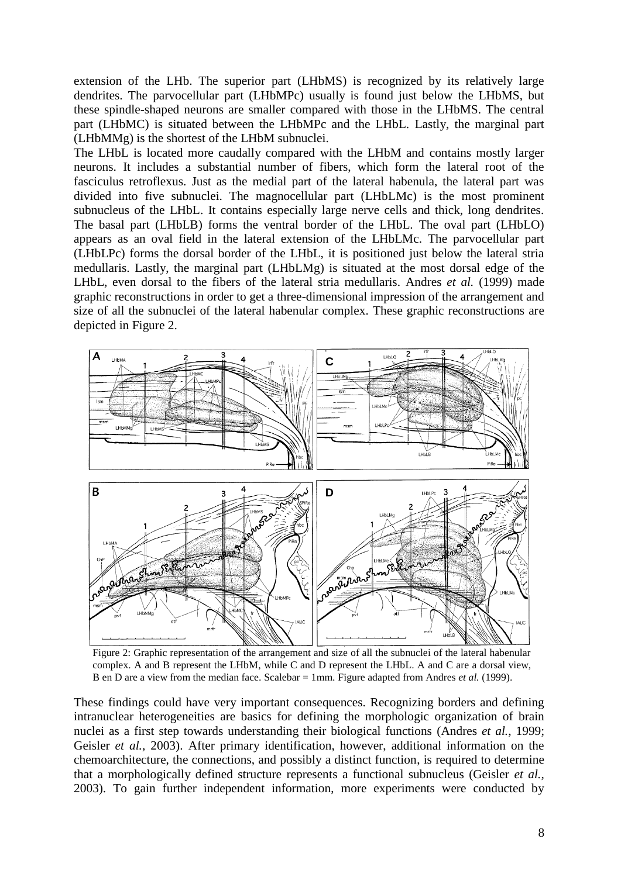extension of the LHb. The superior part (LHbMS) is recognized by its relatively large dendrites. The parvocellular part (LHbMPc) usually is found just below the LHbMS, but these spindle-shaped neurons are smaller compared with those in the LHbMS. The central part (LHbMC) is situated between the LHbMPc and the LHbL. Lastly, the marginal part (LHbMMg) is the shortest of the LHbM subnuclei.

The LHbL is located more caudally compared with the LHbM and contains mostly larger neurons. It includes a substantial number of fibers, which form the lateral root of the fasciculus retroflexus. Just as the medial part of the lateral habenula, the lateral part was divided into five subnuclei. The magnocellular part (LHbLMc) is the most prominent subnucleus of the LHbL. It contains especially large nerve cells and thick, long dendrites. The basal part (LHbLB) forms the ventral border of the LHbL. The oval part (LHbLO) appears as an oval field in the lateral extension of the LHbLMc. The parvocellular part (LHbLPc) forms the dorsal border of the LHbL, it is positioned just below the lateral stria medullaris. Lastly, the marginal part (LHbLMg) is situated at the most dorsal edge of the LHbL, even dorsal to the fibers of the lateral stria medullaris. Andres *et al.* (1999) made graphic reconstructions in order to get a three-dimensional impression of the arrangement and size of all the subnuclei of the lateral habenular complex. These graphic reconstructions are depicted in Figure 2.



Figure 2: Graphic representation of the arrangement and size of all the subnuclei of the lateral habenular complex. A and B represent the LHbM, while C and D represent the LHbL. A and C are a dorsal view, B en D are a view from the median face. Scalebar = 1mm. Figure adapted from Andres *et al.* (1999).

These findings could have very important consequences. Recognizing borders and defining intranuclear heterogeneities are basics for defining the morphologic organization of brain nuclei as a first step towards understanding their biological functions (Andres *et al.*, 1999; Geisler *et al.*, 2003). After primary identification, however, additional information on the chemoarchitecture, the connections, and possibly a distinct function, is required to determine that a morphologically defined structure represents a functional subnucleus (Geisler *et al.*, 2003). To gain further independent information, more experiments were conducted by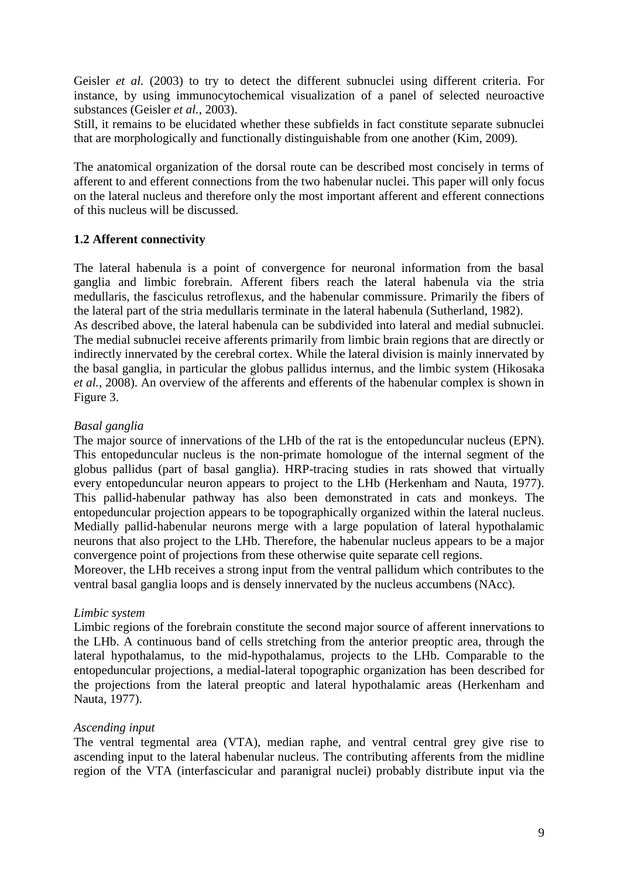Geisler *et al.* (2003) to try to detect the different subnuclei using different criteria. For instance, by using immunocytochemical visualization of a panel of selected neuroactive substances (Geisler *et al.*, 2003).

Still, it remains to be elucidated whether these subfields in fact constitute separate subnuclei that are morphologically and functionally distinguishable from one another (Kim, 2009).

The anatomical organization of the dorsal route can be described most concisely in terms of afferent to and efferent connections from the two habenular nuclei. This paper will only focus on the lateral nucleus and therefore only the most important afferent and efferent connections of this nucleus will be discussed.

# **1.2 Afferent connectivity**

The lateral habenula is a point of convergence for neuronal information from the basal ganglia and limbic forebrain. Afferent fibers reach the lateral habenula via the stria medullaris, the fasciculus retroflexus, and the habenular commissure. Primarily the fibers of the lateral part of the stria medullaris terminate in the lateral habenula (Sutherland, 1982). As described above, the lateral habenula can be subdivided into lateral and medial subnuclei. The medial subnuclei receive afferents primarily from limbic brain regions that are directly or indirectly innervated by the cerebral cortex. While the lateral division is mainly innervated by the basal ganglia, in particular the globus pallidus internus, and the limbic system (Hikosaka *et al.*, 2008). An overview of the afferents and efferents of the habenular complex is shown in Figure 3.

# *Basal ganglia*

The major source of innervations of the LHb of the rat is the entopeduncular nucleus (EPN). This entopeduncular nucleus is the non-primate homologue of the internal segment of the globus pallidus (part of basal ganglia). HRP-tracing studies in rats showed that virtually every entopeduncular neuron appears to project to the LHb (Herkenham and Nauta, 1977). This pallid-habenular pathway has also been demonstrated in cats and monkeys. The entopeduncular projection appears to be topographically organized within the lateral nucleus. Medially pallid-habenular neurons merge with a large population of lateral hypothalamic neurons that also project to the LHb. Therefore, the habenular nucleus appears to be a major convergence point of projections from these otherwise quite separate cell regions.

Moreover, the LHb receives a strong input from the ventral pallidum which contributes to the ventral basal ganglia loops and is densely innervated by the nucleus accumbens (NAcc).

# *Limbic system*

Limbic regions of the forebrain constitute the second major source of afferent innervations to the LHb. A continuous band of cells stretching from the anterior preoptic area, through the lateral hypothalamus, to the mid-hypothalamus, projects to the LHb. Comparable to the entopeduncular projections, a medial-lateral topographic organization has been described for the projections from the lateral preoptic and lateral hypothalamic areas (Herkenham and Nauta, 1977).

# *Ascending input*

The ventral tegmental area (VTA), median raphe, and ventral central grey give rise to ascending input to the lateral habenular nucleus. The contributing afferents from the midline region of the VTA (interfascicular and paranigral nuclei) probably distribute input via the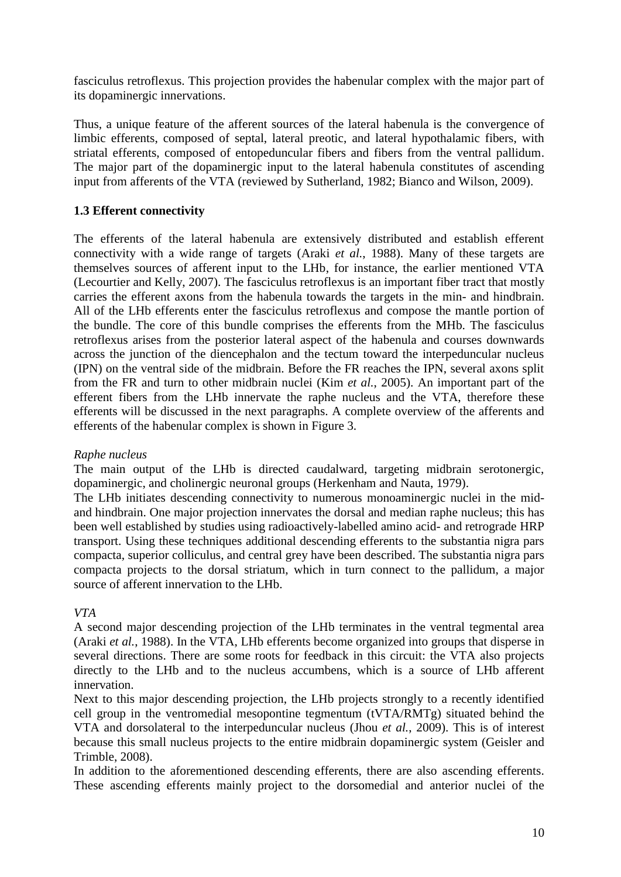fasciculus retroflexus. This projection provides the habenular complex with the major part of its dopaminergic innervations.

Thus, a unique feature of the afferent sources of the lateral habenula is the convergence of limbic efferents, composed of septal, lateral preotic, and lateral hypothalamic fibers, with striatal efferents, composed of entopeduncular fibers and fibers from the ventral pallidum. The major part of the dopaminergic input to the lateral habenula constitutes of ascending input from afferents of the VTA (reviewed by Sutherland, 1982; Bianco and Wilson, 2009).

# **1.3 Efferent connectivity**

The efferents of the lateral habenula are extensively distributed and establish efferent connectivity with a wide range of targets (Araki *et al.*, 1988). Many of these targets are themselves sources of afferent input to the LHb, for instance, the earlier mentioned VTA (Lecourtier and Kelly, 2007). The fasciculus retroflexus is an important fiber tract that mostly carries the efferent axons from the habenula towards the targets in the min- and hindbrain. All of the LHb efferents enter the fasciculus retroflexus and compose the mantle portion of the bundle. The core of this bundle comprises the efferents from the MHb. The fasciculus retroflexus arises from the posterior lateral aspect of the habenula and courses downwards across the junction of the diencephalon and the tectum toward the interpeduncular nucleus (IPN) on the ventral side of the midbrain. Before the FR reaches the IPN, several axons split from the FR and turn to other midbrain nuclei (Kim *et al.*, 2005). An important part of the efferent fibers from the LHb innervate the raphe nucleus and the VTA, therefore these efferents will be discussed in the next paragraphs. A complete overview of the afferents and efferents of the habenular complex is shown in Figure 3.

# *Raphe nucleus*

The main output of the LHb is directed caudalward, targeting midbrain serotonergic, dopaminergic, and cholinergic neuronal groups (Herkenham and Nauta, 1979).

The LHb initiates descending connectivity to numerous monoaminergic nuclei in the midand hindbrain. One major projection innervates the dorsal and median raphe nucleus; this has been well established by studies using radioactively-labelled amino acid- and retrograde HRP transport. Using these techniques additional descending efferents to the substantia nigra pars compacta, superior colliculus, and central grey have been described. The substantia nigra pars compacta projects to the dorsal striatum, which in turn connect to the pallidum, a major source of afferent innervation to the LHb.

# *VTA*

A second major descending projection of the LHb terminates in the ventral tegmental area (Araki *et al.*, 1988). In the VTA, LHb efferents become organized into groups that disperse in several directions. There are some roots for feedback in this circuit: the VTA also projects directly to the LHb and to the nucleus accumbens, which is a source of LHb afferent innervation.

Next to this major descending projection, the LHb projects strongly to a recently identified cell group in the ventromedial mesopontine tegmentum (tVTA/RMTg) situated behind the VTA and dorsolateral to the interpeduncular nucleus (Jhou *et al.*, 2009). This is of interest because this small nucleus projects to the entire midbrain dopaminergic system (Geisler and Trimble, 2008).

In addition to the aforementioned descending efferents, there are also ascending efferents. These ascending efferents mainly project to the dorsomedial and anterior nuclei of the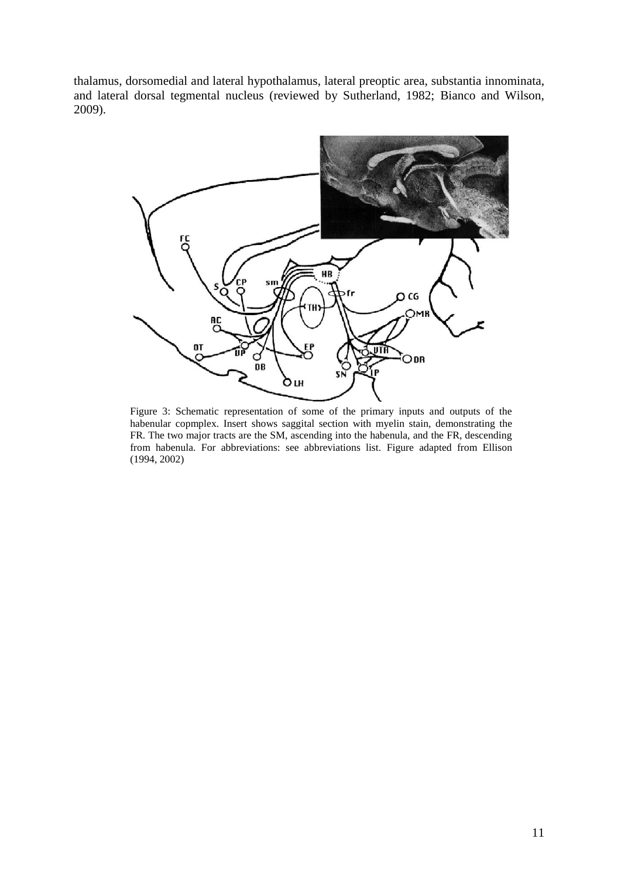thalamus, dorsomedial and lateral hypothalamus, lateral preoptic area, substantia innominata, and lateral dorsal tegmental nucleus (reviewed by Sutherland, 1982; Bianco and Wilson, 2009).



Figure 3: Schematic representation of some of the primary inputs and outputs of the habenular copmplex. Insert shows saggital section with myelin stain, demonstrating the FR. The two major tracts are the SM, ascending into the habenula, and the FR, descending from habenula. For abbreviations: see abbreviations list. Figure adapted from Ellison (1994, 2002)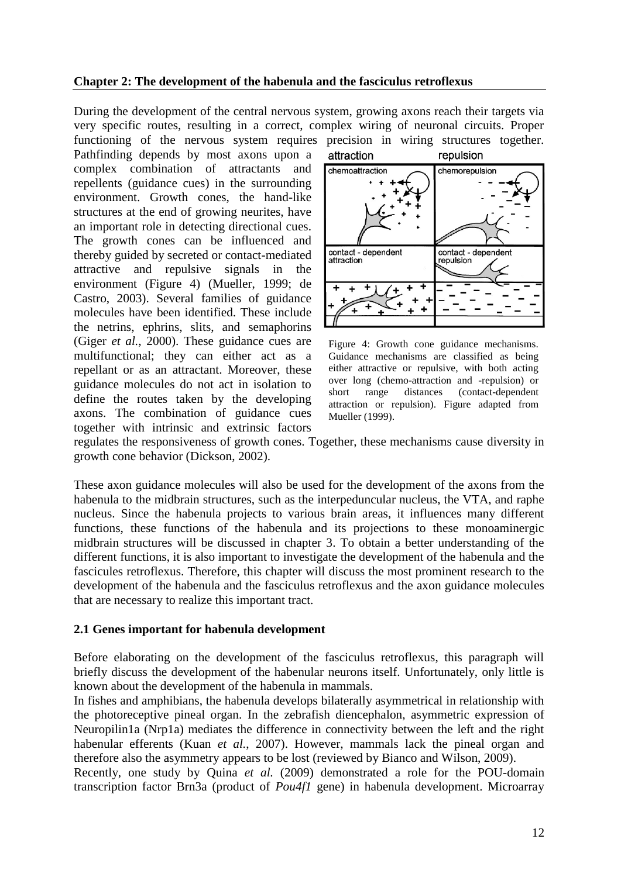# **Chapter 2: The development of the habenula and the fasciculus retroflexus**

During the development of the central nervous system, growing axons reach their targets via very specific routes, resulting in a correct, complex wiring of neuronal circuits. Proper functioning of the nervous system requires precision in wiring structures together.

Pathfinding depends by most axons upon a complex combination of attractants and repellents (guidance cues) in the surrounding environment. Growth cones, the hand-like structures at the end of growing neurites, have an important role in detecting directional cues. The growth cones can be influenced and thereby guided by secreted or contact-mediated attractive and repulsive signals in the environment (Figure 4) (Mueller, 1999; de Castro, 2003). Several families of guidance molecules have been identified. These include the netrins, ephrins, slits, and semaphorins (Giger *et al.*, 2000). These guidance cues are multifunctional; they can either act as a repellant or as an attractant. Moreover, these guidance molecules do not act in isolation to define the routes taken by the developing axons. The combination of guidance cues together with intrinsic and extrinsic factors



Figure 4: Growth cone guidance mechanisms. Guidance mechanisms are classified as being either attractive or repulsive, with both acting over long (chemo-attraction and -repulsion) or short range distances (contact-dependent attraction or repulsion). Figure adapted from Mueller (1999).

regulates the responsiveness of growth cones. Together, these mechanisms cause diversity in growth cone behavior (Dickson, 2002).

These axon guidance molecules will also be used for the development of the axons from the habenula to the midbrain structures, such as the interpeduncular nucleus, the VTA, and raphe nucleus. Since the habenula projects to various brain areas, it influences many different functions, these functions of the habenula and its projections to these monoaminergic midbrain structures will be discussed in chapter 3. To obtain a better understanding of the different functions, it is also important to investigate the development of the habenula and the fascicules retroflexus. Therefore, this chapter will discuss the most prominent research to the development of the habenula and the fasciculus retroflexus and the axon guidance molecules that are necessary to realize this important tract.

# **2.1 Genes important for habenula development**

Before elaborating on the development of the fasciculus retroflexus, this paragraph will briefly discuss the development of the habenular neurons itself. Unfortunately, only little is known about the development of the habenula in mammals.

In fishes and amphibians, the habenula develops bilaterally asymmetrical in relationship with the photoreceptive pineal organ. In the zebrafish diencephalon, asymmetric expression of Neuropilin1a (Nrp1a) mediates the difference in connectivity between the left and the right habenular efferents (Kuan *et al.*, 2007). However, mammals lack the pineal organ and therefore also the asymmetry appears to be lost (reviewed by Bianco and Wilson, 2009).

Recently, one study by Quina *et al.* (2009) demonstrated a role for the POU-domain transcription factor Brn3a (product of *Pou4f1* gene) in habenula development. Microarray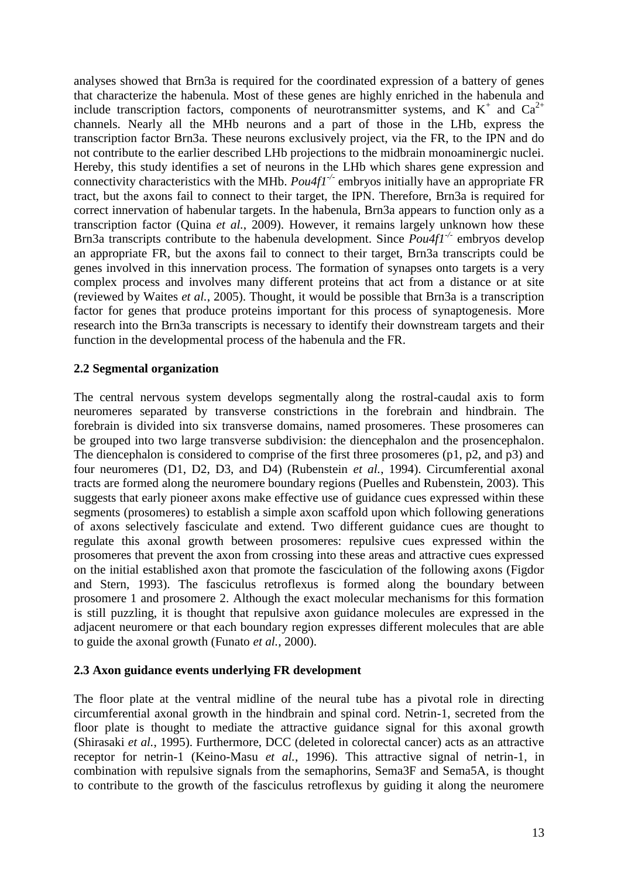analyses showed that Brn3a is required for the coordinated expression of a battery of genes that characterize the habenula. Most of these genes are highly enriched in the habenula and include transcription factors, components of neurotransmitter systems, and  $K^+$  and  $Ca^{2+}$ channels. Nearly all the MHb neurons and a part of those in the LHb, express the transcription factor Brn3a. These neurons exclusively project, via the FR, to the IPN and do not contribute to the earlier described LHb projections to the midbrain monoaminergic nuclei. Hereby, this study identifies a set of neurons in the LHb which shares gene expression and connectivity characteristics with the MHb. *Pou4f1-/-* embryos initially have an appropriate FR tract, but the axons fail to connect to their target, the IPN. Therefore, Brn3a is required for correct innervation of habenular targets. In the habenula, Brn3a appears to function only as a transcription factor (Quina *et al.*, 2009). However, it remains largely unknown how these Brn3a transcripts contribute to the habenula development. Since  $Pou4f1^{-/-}$  embryos develop an appropriate FR, but the axons fail to connect to their target, Brn3a transcripts could be genes involved in this innervation process. The formation of synapses onto targets is a very complex process and involves many different proteins that act from a distance or at site (reviewed by Waites *et al.*, 2005). Thought, it would be possible that Brn3a is a transcription factor for genes that produce proteins important for this process of synaptogenesis. More research into the Brn3a transcripts is necessary to identify their downstream targets and their function in the developmental process of the habenula and the FR.

# **2.2 Segmental organization**

The central nervous system develops segmentally along the rostral-caudal axis to form neuromeres separated by transverse constrictions in the forebrain and hindbrain. The forebrain is divided into six transverse domains, named prosomeres. These prosomeres can be grouped into two large transverse subdivision: the diencephalon and the prosencephalon. The diencephalon is considered to comprise of the first three prosomeres (p1, p2, and p3) and four neuromeres (D1, D2, D3, and D4) (Rubenstein *et al.*, 1994). Circumferential axonal tracts are formed along the neuromere boundary regions (Puelles and Rubenstein, 2003). This suggests that early pioneer axons make effective use of guidance cues expressed within these segments (prosomeres) to establish a simple axon scaffold upon which following generations of axons selectively fasciculate and extend. Two different guidance cues are thought to regulate this axonal growth between prosomeres: repulsive cues expressed within the prosomeres that prevent the axon from crossing into these areas and attractive cues expressed on the initial established axon that promote the fasciculation of the following axons (Figdor and Stern, 1993). The fasciculus retroflexus is formed along the boundary between prosomere 1 and prosomere 2. Although the exact molecular mechanisms for this formation is still puzzling, it is thought that repulsive axon guidance molecules are expressed in the adjacent neuromere or that each boundary region expresses different molecules that are able to guide the axonal growth (Funato *et al.*, 2000).

# **2.3 Axon guidance events underlying FR development**

The floor plate at the ventral midline of the neural tube has a pivotal role in directing circumferential axonal growth in the hindbrain and spinal cord. Netrin-1, secreted from the floor plate is thought to mediate the attractive guidance signal for this axonal growth (Shirasaki *et al.*, 1995). Furthermore, DCC (deleted in colorectal cancer) acts as an attractive receptor for netrin-1 (Keino-Masu *et al.*, 1996). This attractive signal of netrin-1, in combination with repulsive signals from the semaphorins, Sema3F and Sema5A, is thought to contribute to the growth of the fasciculus retroflexus by guiding it along the neuromere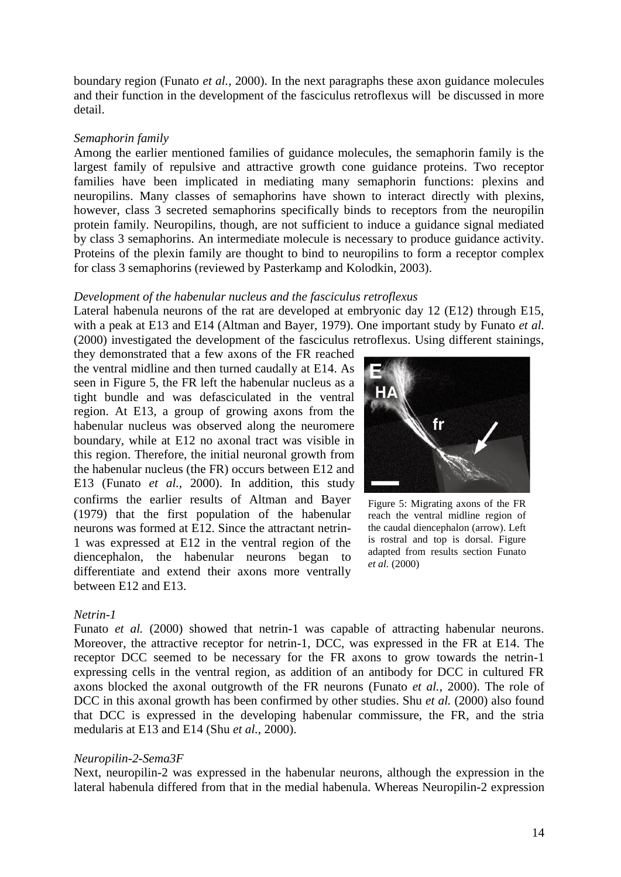boundary region (Funato *et al.*, 2000). In the next paragraphs these axon guidance molecules and their function in the development of the fasciculus retroflexus will be discussed in more detail.

## *Semaphorin family*

Among the earlier mentioned families of guidance molecules, the semaphorin family is the largest family of repulsive and attractive growth cone guidance proteins. Two receptor families have been implicated in mediating many semaphorin functions: plexins and neuropilins. Many classes of semaphorins have shown to interact directly with plexins, however, class 3 secreted semaphorins specifically binds to receptors from the neuropilin protein family. Neuropilins, though, are not sufficient to induce a guidance signal mediated by class 3 semaphorins. An intermediate molecule is necessary to produce guidance activity. Proteins of the plexin family are thought to bind to neuropilins to form a receptor complex for class 3 semaphorins (reviewed by Pasterkamp and Kolodkin, 2003).

### *Development of the habenular nucleus and the fasciculus retroflexus*

Lateral habenula neurons of the rat are developed at embryonic day 12 (E12) through E15, with a peak at E13 and E14 (Altman and Bayer, 1979). One important study by Funato *et al.* (2000) investigated the development of the fasciculus retroflexus. Using different stainings,

they demonstrated that a few axons of the FR reached the ventral midline and then turned caudally at E14. As seen in Figure 5, the FR left the habenular nucleus as a tight bundle and was defasciculated in the ventral region. At E13, a group of growing axons from the habenular nucleus was observed along the neuromere boundary, while at E12 no axonal tract was visible in this region. Therefore, the initial neuronal growth from the habenular nucleus (the FR) occurs between E12 and E13 (Funato *et al.*, 2000). In addition, this study confirms the earlier results of Altman and Bayer (1979) that the first population of the habenular neurons was formed at E12. Since the attractant netrin-1 was expressed at E12 in the ventral region of the diencephalon, the habenular neurons began to differentiate and extend their axons more ventrally between E12 and E13.



Figure 5: Migrating axons of the FR reach the ventral midline region of the caudal diencephalon (arrow). Left is rostral and top is dorsal. Figure adapted from results section Funato *et al.* (2000)

# *Netrin-1*

Funato *et al.* (2000) showed that netrin-1 was capable of attracting habenular neurons. Moreover, the attractive receptor for netrin-1, DCC, was expressed in the FR at E14. The receptor DCC seemed to be necessary for the FR axons to grow towards the netrin-1 expressing cells in the ventral region, as addition of an antibody for DCC in cultured FR axons blocked the axonal outgrowth of the FR neurons (Funato *et al.*, 2000). The role of DCC in this axonal growth has been confirmed by other studies. Shu *et al.* (2000) also found that DCC is expressed in the developing habenular commissure, the FR, and the stria medularis at E13 and E14 (Shu *et al.*, 2000).

#### *Neuropilin-2-Sema3F*

Next, neuropilin-2 was expressed in the habenular neurons, although the expression in the lateral habenula differed from that in the medial habenula. Whereas Neuropilin-2 expression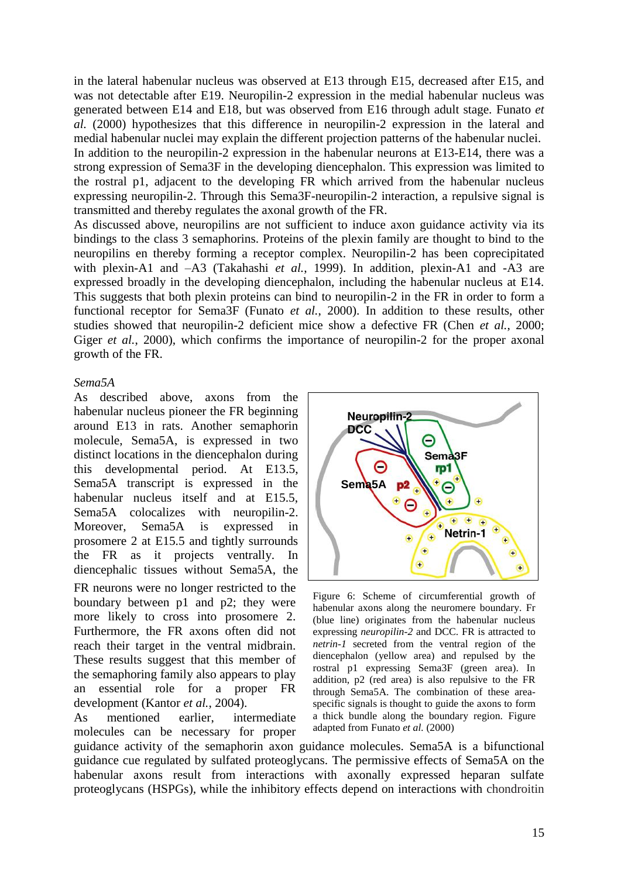in the lateral habenular nucleus was observed at E13 through E15, decreased after E15, and was not detectable after E19. Neuropilin-2 expression in the medial habenular nucleus was generated between E14 and E18, but was observed from E16 through adult stage. Funato *et al.* (2000) hypothesizes that this difference in neuropilin-2 expression in the lateral and medial habenular nuclei may explain the different projection patterns of the habenular nuclei.

In addition to the neuropilin-2 expression in the habenular neurons at E13-E14, there was a strong expression of Sema3F in the developing diencephalon. This expression was limited to the rostral p1, adjacent to the developing FR which arrived from the habenular nucleus expressing neuropilin-2. Through this Sema3F-neuropilin-2 interaction, a repulsive signal is transmitted and thereby regulates the axonal growth of the FR.

As discussed above, neuropilins are not sufficient to induce axon guidance activity via its bindings to the class 3 semaphorins. Proteins of the plexin family are thought to bind to the neuropilins en thereby forming a receptor complex. Neuropilin-2 has been coprecipitated with plexin-A1 and  $-A3$  (Takahashi *et al.*, 1999). In addition, plexin-A1 and -A3 are expressed broadly in the developing diencephalon, including the habenular nucleus at E14. This suggests that both plexin proteins can bind to neuropilin-2 in the FR in order to form a functional receptor for Sema3F (Funato *et al.*, 2000). In addition to these results, other studies showed that neuropilin-2 deficient mice show a defective FR (Chen *et al.*, 2000; Giger *et al.*, 2000), which confirms the importance of neuropilin-2 for the proper axonal growth of the FR.

#### *Sema5A*

As described above, axons from the habenular nucleus pioneer the FR beginning around E13 in rats. Another semaphorin molecule, Sema5A, is expressed in two distinct locations in the diencephalon during this developmental period. At E13.5, Sema5A transcript is expressed in the habenular nucleus itself and at E15.5, Sema5A colocalizes with neuropilin-2. Moreover, Sema5A is expressed in prosomere 2 at E15.5 and tightly surrounds the FR as it projects ventrally. In diencephalic tissues without Sema5A, the FR neurons were no longer restricted to the boundary between p1 and p2; they were more likely to cross into prosomere 2. Furthermore, the FR axons often did not reach their target in the ventral midbrain. These results suggest that this member of the semaphoring family also appears to play an essential role for a proper FR development (Kantor *et al.*, 2004).

As mentioned earlier, intermediate molecules can be necessary for proper



Figure 6: Scheme of circumferential growth of habenular axons along the neuromere boundary. Fr (blue line) originates from the habenular nucleus expressing *neuropilin-2* and DCC. FR is attracted to *netrin-1* secreted from the ventral region of the diencephalon (yellow area) and repulsed by the rostral p1 expressing Sema3F (green area). In addition, p2 (red area) is also repulsive to the FR through Sema5A. The combination of these areaspecific signals is thought to guide the axons to form a thick bundle along the boundary region. Figure adapted from Funato *et al.* (2000)

guidance activity of the semaphorin axon guidance molecules. Sema5A is a bifunctional guidance cue regulated by sulfated proteoglycans. The permissive effects of Sema5A on the habenular axons result from interactions with axonally expressed heparan sulfate proteoglycans (HSPGs), while the inhibitory effects depend on interactions with chondroitin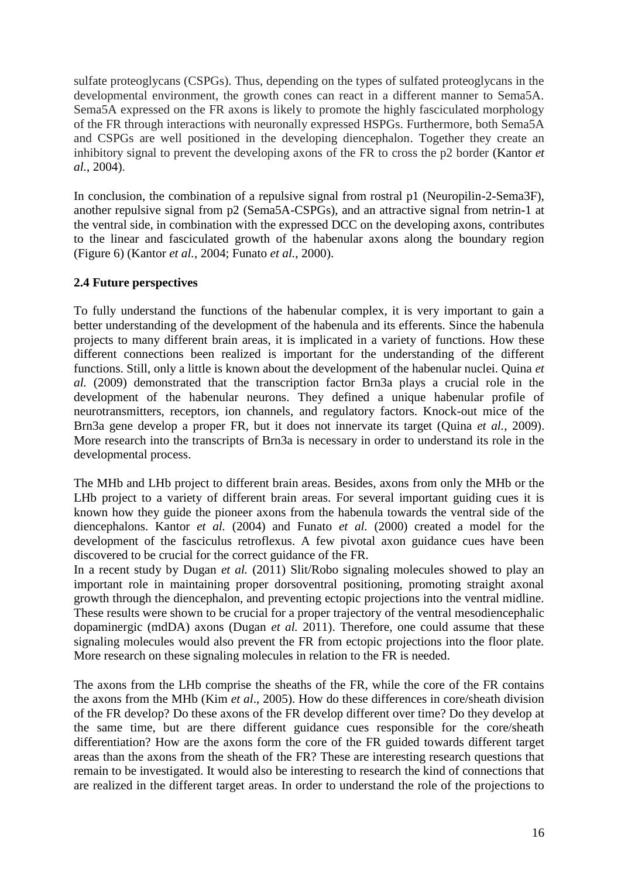sulfate proteoglycans (CSPGs). Thus, depending on the types of sulfated proteoglycans in the developmental environment, the growth cones can react in a different manner to Sema5A. Sema5A expressed on the FR axons is likely to promote the highly fasciculated morphology of the FR through interactions with neuronally expressed HSPGs. Furthermore, both Sema5A and CSPGs are well positioned in the developing diencephalon. Together they create an inhibitory signal to prevent the developing axons of the FR to cross the p2 border (Kantor *et al.*, 2004).

In conclusion, the combination of a repulsive signal from rostral p1 (Neuropilin-2-Sema3F), another repulsive signal from p2 (Sema5A-CSPGs), and an attractive signal from netrin-1 at the ventral side, in combination with the expressed DCC on the developing axons, contributes to the linear and fasciculated growth of the habenular axons along the boundary region (Figure 6) (Kantor *et al.*, 2004; Funato *et al.*, 2000).

# **2.4 Future perspectives**

To fully understand the functions of the habenular complex, it is very important to gain a better understanding of the development of the habenula and its efferents. Since the habenula projects to many different brain areas, it is implicated in a variety of functions. How these different connections been realized is important for the understanding of the different functions. Still, only a little is known about the development of the habenular nuclei. Quina *et al.* (2009) demonstrated that the transcription factor Brn3a plays a crucial role in the development of the habenular neurons. They defined a unique habenular profile of neurotransmitters, receptors, ion channels, and regulatory factors. Knock-out mice of the Brn3a gene develop a proper FR, but it does not innervate its target (Quina *et al.*, 2009). More research into the transcripts of Brn3a is necessary in order to understand its role in the developmental process.

The MHb and LHb project to different brain areas. Besides, axons from only the MHb or the LHb project to a variety of different brain areas. For several important guiding cues it is known how they guide the pioneer axons from the habenula towards the ventral side of the diencephalons. Kantor *et al.* (2004) and Funato *et al.* (2000) created a model for the development of the fasciculus retroflexus. A few pivotal axon guidance cues have been discovered to be crucial for the correct guidance of the FR.

In a recent study by Dugan *et al.* (2011) Slit/Robo signaling molecules showed to play an important role in maintaining proper dorsoventral positioning, promoting straight axonal growth through the diencephalon, and preventing ectopic projections into the ventral midline. These results were shown to be crucial for a proper trajectory of the ventral mesodiencephalic dopaminergic (mdDA) axons (Dugan *et al.* 2011). Therefore, one could assume that these signaling molecules would also prevent the FR from ectopic projections into the floor plate. More research on these signaling molecules in relation to the FR is needed.

The axons from the LHb comprise the sheaths of the FR, while the core of the FR contains the axons from the MHb (Kim *et al*., 2005). How do these differences in core/sheath division of the FR develop? Do these axons of the FR develop different over time? Do they develop at the same time, but are there different guidance cues responsible for the core/sheath differentiation? How are the axons form the core of the FR guided towards different target areas than the axons from the sheath of the FR? These are interesting research questions that remain to be investigated. It would also be interesting to research the kind of connections that are realized in the different target areas. In order to understand the role of the projections to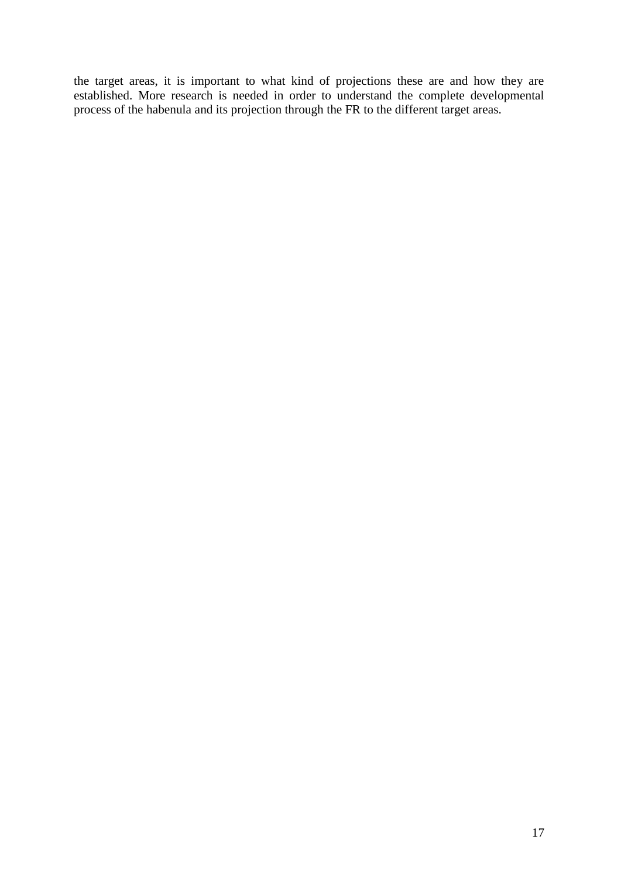the target areas, it is important to what kind of projections these are and how they are established. More research is needed in order to understand the complete developmental process of the habenula and its projection through the FR to the different target areas.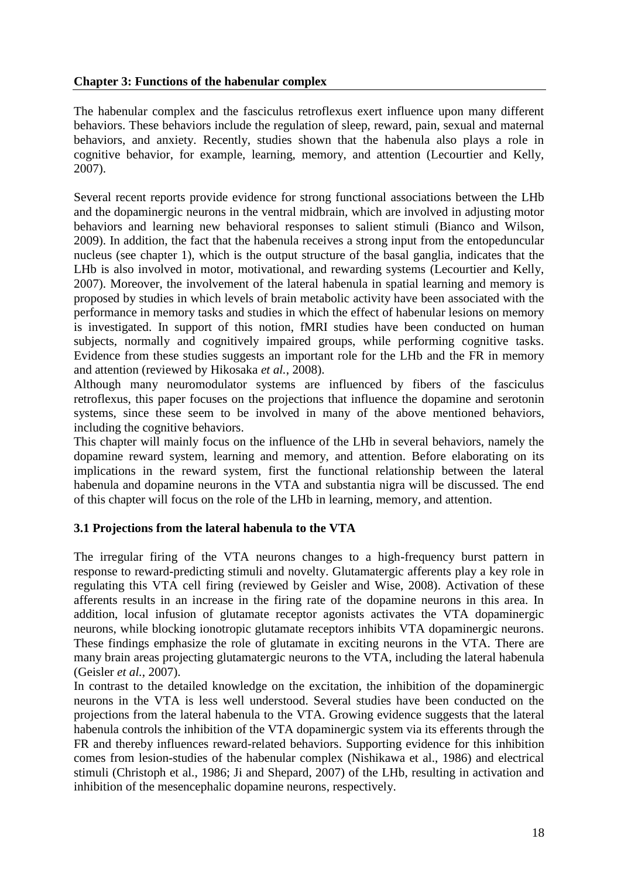# **Chapter 3: Functions of the habenular complex**

The habenular complex and the fasciculus retroflexus exert influence upon many different behaviors. These behaviors include the regulation of sleep, reward, pain, sexual and maternal behaviors, and anxiety. Recently, studies shown that the habenula also plays a role in cognitive behavior, for example, learning, memory, and attention (Lecourtier and Kelly, 2007).

Several recent reports provide evidence for strong functional associations between the LHb and the dopaminergic neurons in the ventral midbrain, which are involved in adjusting motor behaviors and learning new behavioral responses to salient stimuli (Bianco and Wilson, 2009). In addition, the fact that the habenula receives a strong input from the entopeduncular nucleus (see chapter 1), which is the output structure of the basal ganglia, indicates that the LHb is also involved in motor, motivational, and rewarding systems (Lecourtier and Kelly, 2007). Moreover, the involvement of the lateral habenula in spatial learning and memory is proposed by studies in which levels of brain metabolic activity have been associated with the performance in memory tasks and studies in which the effect of habenular lesions on memory is investigated. In support of this notion, fMRI studies have been conducted on human subjects, normally and cognitively impaired groups, while performing cognitive tasks. Evidence from these studies suggests an important role for the LHb and the FR in memory and attention (reviewed by Hikosaka *et al.*, 2008).

Although many neuromodulator systems are influenced by fibers of the fasciculus retroflexus, this paper focuses on the projections that influence the dopamine and serotonin systems, since these seem to be involved in many of the above mentioned behaviors, including the cognitive behaviors.

This chapter will mainly focus on the influence of the LHb in several behaviors, namely the dopamine reward system, learning and memory, and attention. Before elaborating on its implications in the reward system, first the functional relationship between the lateral habenula and dopamine neurons in the VTA and substantia nigra will be discussed. The end of this chapter will focus on the role of the LHb in learning, memory, and attention.

# **3.1 Projections from the lateral habenula to the VTA**

The irregular firing of the VTA neurons changes to a high-frequency burst pattern in response to reward-predicting stimuli and novelty. Glutamatergic afferents play a key role in regulating this VTA cell firing (reviewed by Geisler and Wise, 2008). Activation of these afferents results in an increase in the firing rate of the dopamine neurons in this area. In addition, local infusion of glutamate receptor agonists activates the VTA dopaminergic neurons, while blocking ionotropic glutamate receptors inhibits VTA dopaminergic neurons. These findings emphasize the role of glutamate in exciting neurons in the VTA. There are many brain areas projecting glutamatergic neurons to the VTA, including the lateral habenula (Geisler *et al.*, 2007).

In contrast to the detailed knowledge on the excitation, the inhibition of the dopaminergic neurons in the VTA is less well understood. Several studies have been conducted on the projections from the lateral habenula to the VTA. Growing evidence suggests that the lateral habenula controls the inhibition of the VTA dopaminergic system via its efferents through the FR and thereby influences reward-related behaviors. Supporting evidence for this inhibition comes from lesion-studies of the habenular complex (Nishikawa et al., 1986) and electrical stimuli (Christoph et al., 1986; Ji and Shepard, 2007) of the LHb, resulting in activation and inhibition of the mesencephalic dopamine neurons, respectively.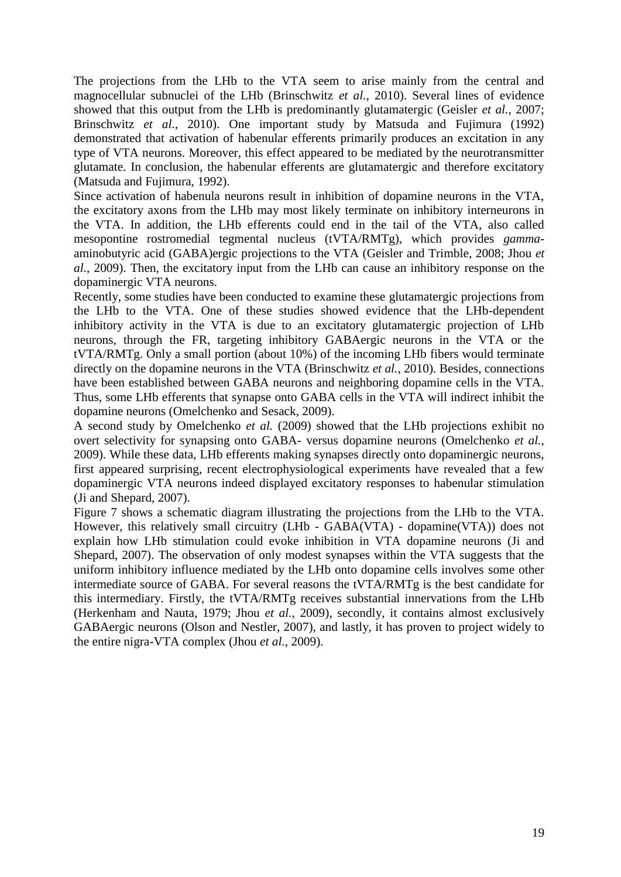The projections from the LHb to the VTA seem to arise mainly from the central and magnocellular subnuclei of the LHb (Brinschwitz *et al.*, 2010). Several lines of evidence showed that this output from the LHb is predominantly glutamatergic (Geisler *et al.*, 2007; Brinschwitz *et al.*, 2010). One important study by Matsuda and Fujimura (1992) demonstrated that activation of habenular efferents primarily produces an excitation in any type of VTA neurons. Moreover, this effect appeared to be mediated by the neurotransmitter glutamate. In conclusion, the habenular efferents are glutamatergic and therefore excitatory (Matsuda and Fujimura, 1992).

Since activation of habenula neurons result in inhibition of dopamine neurons in the VTA, the excitatory axons from the LHb may most likely terminate on inhibitory interneurons in the VTA. In addition, the LHb efferents could end in the tail of the VTA, also called mesopontine rostromedial tegmental nucleus (tVTA/RMTg), which provides *gamma*aminobutyric acid (GABA)ergic projections to the VTA (Geisler and Trimble, 2008; Jhou *et al.*, 2009). Then, the excitatory input from the LHb can cause an inhibitory response on the dopaminergic VTA neurons.

Recently, some studies have been conducted to examine these glutamatergic projections from the LHb to the VTA. One of these studies showed evidence that the LHb-dependent inhibitory activity in the VTA is due to an excitatory glutamatergic projection of LHb neurons, through the FR, targeting inhibitory GABAergic neurons in the VTA or the tVTA/RMTg. Only a small portion (about 10%) of the incoming LHb fibers would terminate directly on the dopamine neurons in the VTA (Brinschwitz *et al.*, 2010). Besides, connections have been established between GABA neurons and neighboring dopamine cells in the VTA. Thus, some LHb efferents that synapse onto GABA cells in the VTA will indirect inhibit the dopamine neurons (Omelchenko and Sesack, 2009).

A second study by Omelchenko *et al.* (2009) showed that the LHb projections exhibit no overt selectivity for synapsing onto GABA- versus dopamine neurons (Omelchenko *et al.*, 2009). While these data, LHb efferents making synapses directly onto dopaminergic neurons, first appeared surprising, recent electrophysiological experiments have revealed that a few dopaminergic VTA neurons indeed displayed excitatory responses to habenular stimulation (Ji and Shepard, 2007).

Figure 7 shows a schematic diagram illustrating the projections from the LHb to the VTA. However, this relatively small circuitry (LHb - GABA(VTA) - dopamine(VTA)) does not explain how LHb stimulation could evoke inhibition in VTA dopamine neurons (Ji and Shepard, 2007). The observation of only modest synapses within the VTA suggests that the uniform inhibitory influence mediated by the LHb onto dopamine cells involves some other intermediate source of GABA. For several reasons the tVTA/RMTg is the best candidate for this intermediary. Firstly, the tVTA/RMTg receives substantial innervations from the LHb (Herkenham and Nauta, 1979; Jhou *et al.*, 2009), secondly, it contains almost exclusively GABAergic neurons (Olson and Nestler, 2007), and lastly, it has proven to project widely to the entire nigra-VTA complex (Jhou *et al.*, 2009).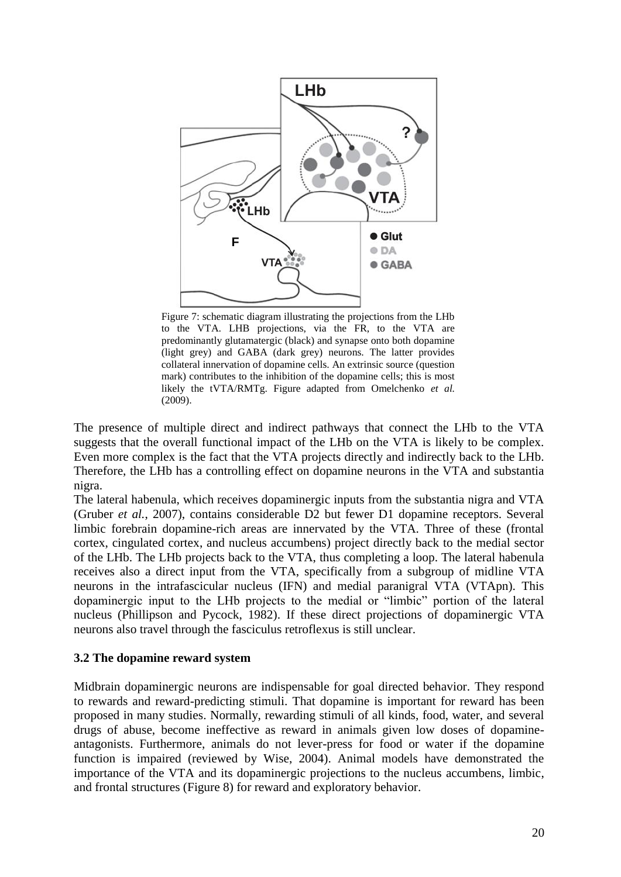

Figure 7: schematic diagram illustrating the projections from the LHb to the VTA. LHB projections, via the FR, to the VTA are predominantly glutamatergic (black) and synapse onto both dopamine (light grey) and GABA (dark grey) neurons. The latter provides collateral innervation of dopamine cells. An extrinsic source (question mark) contributes to the inhibition of the dopamine cells; this is most likely the tVTA/RMTg. Figure adapted from Omelchenko *et al.* (2009).

The presence of multiple direct and indirect pathways that connect the LHb to the VTA suggests that the overall functional impact of the LHb on the VTA is likely to be complex. Even more complex is the fact that the VTA projects directly and indirectly back to the LHb. Therefore, the LHb has a controlling effect on dopamine neurons in the VTA and substantia nigra.

The lateral habenula, which receives dopaminergic inputs from the substantia nigra and VTA (Gruber *et al.*, 2007), contains considerable D2 but fewer D1 dopamine receptors. Several limbic forebrain dopamine-rich areas are innervated by the VTA. Three of these (frontal cortex, cingulated cortex, and nucleus accumbens) project directly back to the medial sector of the LHb. The LHb projects back to the VTA, thus completing a loop. The lateral habenula receives also a direct input from the VTA, specifically from a subgroup of midline VTA neurons in the intrafascicular nucleus (IFN) and medial paranigral VTA (VTApn). This dopaminergic input to the LHb projects to the medial or "limbic" portion of the lateral nucleus (Phillipson and Pycock, 1982). If these direct projections of dopaminergic VTA neurons also travel through the fasciculus retroflexus is still unclear.

# **3.2 The dopamine reward system**

Midbrain dopaminergic neurons are indispensable for goal directed behavior. They respond to rewards and reward-predicting stimuli. That dopamine is important for reward has been proposed in many studies. Normally, rewarding stimuli of all kinds, food, water, and several drugs of abuse, become ineffective as reward in animals given low doses of dopamineantagonists. Furthermore, animals do not lever-press for food or water if the dopamine function is impaired (reviewed by Wise, 2004). Animal models have demonstrated the importance of the VTA and its dopaminergic projections to the nucleus accumbens, limbic, and frontal structures (Figure 8) for reward and exploratory behavior.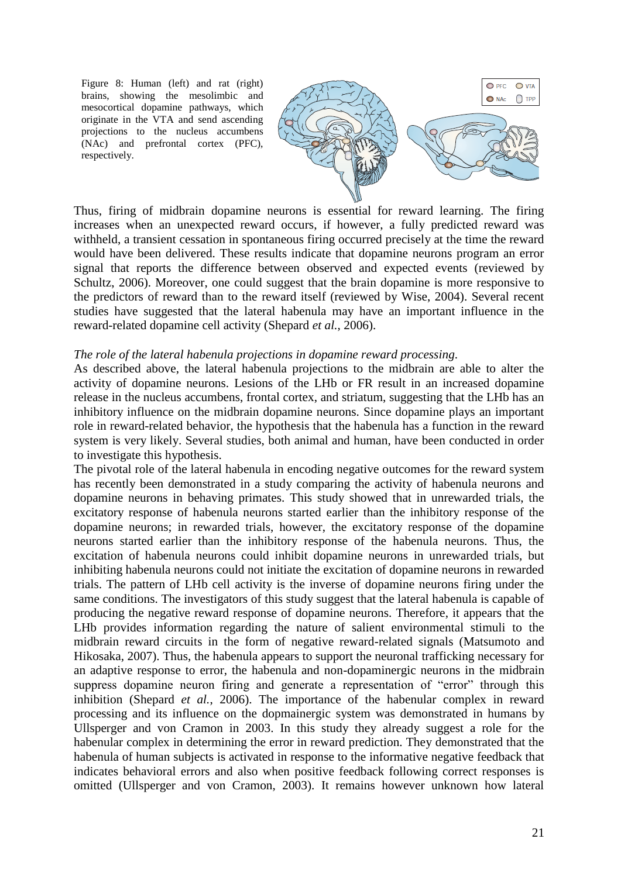Figure 8: Human (left) and rat (right) brains, showing the mesolimbic and mesocortical dopamine pathways, which originate in the VTA and send ascending projections to the nucleus accumbens (NAc) and prefrontal cortex (PFC), respectively.



Thus, firing of midbrain dopamine neurons is essential for reward learning. The firing increases when an unexpected reward occurs, if however, a fully predicted reward was withheld, a transient cessation in spontaneous firing occurred precisely at the time the reward would have been delivered. These results indicate that dopamine neurons program an error signal that reports the difference between observed and expected events (reviewed by Schultz, 2006). Moreover, one could suggest that the brain dopamine is more responsive to the predictors of reward than to the reward itself (reviewed by Wise, 2004). Several recent studies have suggested that the lateral habenula may have an important influence in the reward-related dopamine cell activity (Shepard *et al.*, 2006).

#### *The role of the lateral habenula projections in dopamine reward processing.*

As described above, the lateral habenula projections to the midbrain are able to alter the activity of dopamine neurons. Lesions of the LHb or FR result in an increased dopamine release in the nucleus accumbens, frontal cortex, and striatum, suggesting that the LHb has an inhibitory influence on the midbrain dopamine neurons. Since dopamine plays an important role in reward-related behavior, the hypothesis that the habenula has a function in the reward system is very likely. Several studies, both animal and human, have been conducted in order to investigate this hypothesis.

The pivotal role of the lateral habenula in encoding negative outcomes for the reward system has recently been demonstrated in a study comparing the activity of habenula neurons and dopamine neurons in behaving primates. This study showed that in unrewarded trials, the excitatory response of habenula neurons started earlier than the inhibitory response of the dopamine neurons; in rewarded trials, however, the excitatory response of the dopamine neurons started earlier than the inhibitory response of the habenula neurons. Thus, the excitation of habenula neurons could inhibit dopamine neurons in unrewarded trials, but inhibiting habenula neurons could not initiate the excitation of dopamine neurons in rewarded trials. The pattern of LHb cell activity is the inverse of dopamine neurons firing under the same conditions. The investigators of this study suggest that the lateral habenula is capable of producing the negative reward response of dopamine neurons. Therefore, it appears that the LHb provides information regarding the nature of salient environmental stimuli to the midbrain reward circuits in the form of negative reward-related signals (Matsumoto and Hikosaka, 2007). Thus, the habenula appears to support the neuronal trafficking necessary for an adaptive response to error, the habenula and non-dopaminergic neurons in the midbrain suppress dopamine neuron firing and generate a representation of "error" through this inhibition (Shepard *et al.*, 2006). The importance of the habenular complex in reward processing and its influence on the dopmainergic system was demonstrated in humans by Ullsperger and von Cramon in 2003. In this study they already suggest a role for the habenular complex in determining the error in reward prediction. They demonstrated that the habenula of human subjects is activated in response to the informative negative feedback that indicates behavioral errors and also when positive feedback following correct responses is omitted (Ullsperger and von Cramon, 2003). It remains however unknown how lateral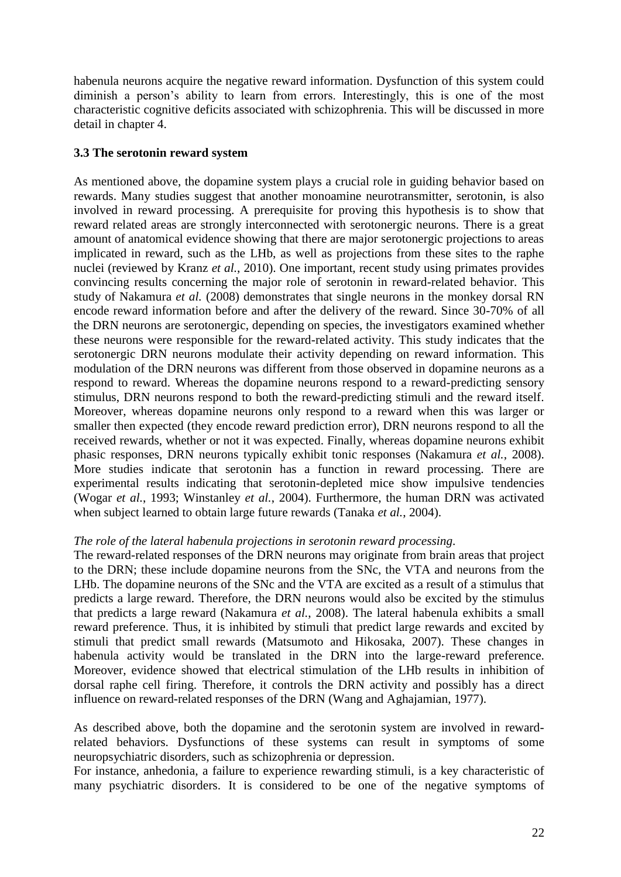habenula neurons acquire the negative reward information. Dysfunction of this system could diminish a person's ability to learn from errors. Interestingly, this is one of the most characteristic cognitive deficits associated with schizophrenia. This will be discussed in more detail in chapter 4.

# **3.3 The serotonin reward system**

As mentioned above, the dopamine system plays a crucial role in guiding behavior based on rewards. Many studies suggest that another monoamine neurotransmitter, serotonin, is also involved in reward processing. A prerequisite for proving this hypothesis is to show that reward related areas are strongly interconnected with serotonergic neurons. There is a great amount of anatomical evidence showing that there are major serotonergic projections to areas implicated in reward, such as the LHb, as well as projections from these sites to the raphe nuclei (reviewed by Kranz *et al.*, 2010). One important, recent study using primates provides convincing results concerning the major role of serotonin in reward-related behavior. This study of Nakamura *et al.* (2008) demonstrates that single neurons in the monkey dorsal RN encode reward information before and after the delivery of the reward. Since 30-70% of all the DRN neurons are serotonergic, depending on species, the investigators examined whether these neurons were responsible for the reward-related activity. This study indicates that the serotonergic DRN neurons modulate their activity depending on reward information. This modulation of the DRN neurons was different from those observed in dopamine neurons as a respond to reward. Whereas the dopamine neurons respond to a reward-predicting sensory stimulus, DRN neurons respond to both the reward-predicting stimuli and the reward itself. Moreover, whereas dopamine neurons only respond to a reward when this was larger or smaller then expected (they encode reward prediction error), DRN neurons respond to all the received rewards, whether or not it was expected. Finally, whereas dopamine neurons exhibit phasic responses, DRN neurons typically exhibit tonic responses (Nakamura *et al.*, 2008). More studies indicate that serotonin has a function in reward processing. There are experimental results indicating that serotonin-depleted mice show impulsive tendencies (Wogar *et al.*, 1993; Winstanley *et al.*, 2004). Furthermore, the human DRN was activated when subject learned to obtain large future rewards (Tanaka *et al.*, 2004).

# *The role of the lateral habenula projections in serotonin reward processing.*

The reward-related responses of the DRN neurons may originate from brain areas that project to the DRN; these include dopamine neurons from the SNc, the VTA and neurons from the LHb. The dopamine neurons of the SNc and the VTA are excited as a result of a stimulus that predicts a large reward. Therefore, the DRN neurons would also be excited by the stimulus that predicts a large reward (Nakamura *et al.*, 2008). The lateral habenula exhibits a small reward preference. Thus, it is inhibited by stimuli that predict large rewards and excited by stimuli that predict small rewards (Matsumoto and Hikosaka, 2007). These changes in habenula activity would be translated in the DRN into the large-reward preference. Moreover, evidence showed that electrical stimulation of the LHb results in inhibition of dorsal raphe cell firing. Therefore, it controls the DRN activity and possibly has a direct influence on reward-related responses of the DRN (Wang and Aghajamian, 1977).

As described above, both the dopamine and the serotonin system are involved in rewardrelated behaviors. Dysfunctions of these systems can result in symptoms of some neuropsychiatric disorders, such as schizophrenia or depression.

For instance, anhedonia, a failure to experience rewarding stimuli, is a key characteristic of many psychiatric disorders. It is considered to be one of the negative symptoms of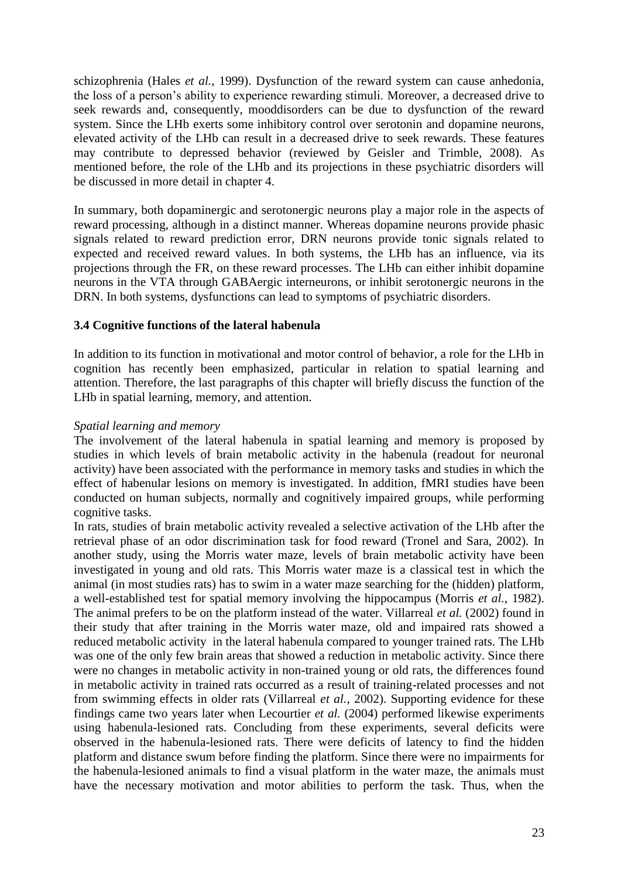schizophrenia (Hales *et al.*, 1999). Dysfunction of the reward system can cause anhedonia, the loss of a person's ability to experience rewarding stimuli. Moreover, a decreased drive to seek rewards and, consequently, mooddisorders can be due to dysfunction of the reward system. Since the LHb exerts some inhibitory control over serotonin and dopamine neurons, elevated activity of the LHb can result in a decreased drive to seek rewards. These features may contribute to depressed behavior (reviewed by Geisler and Trimble, 2008). As mentioned before, the role of the LHb and its projections in these psychiatric disorders will be discussed in more detail in chapter 4.

In summary, both dopaminergic and serotonergic neurons play a major role in the aspects of reward processing, although in a distinct manner. Whereas dopamine neurons provide phasic signals related to reward prediction error, DRN neurons provide tonic signals related to expected and received reward values. In both systems, the LHb has an influence, via its projections through the FR, on these reward processes. The LHb can either inhibit dopamine neurons in the VTA through GABAergic interneurons, or inhibit serotonergic neurons in the DRN. In both systems, dysfunctions can lead to symptoms of psychiatric disorders.

# **3.4 Cognitive functions of the lateral habenula**

In addition to its function in motivational and motor control of behavior, a role for the LHb in cognition has recently been emphasized, particular in relation to spatial learning and attention. Therefore, the last paragraphs of this chapter will briefly discuss the function of the LHb in spatial learning, memory, and attention.

# *Spatial learning and memory*

The involvement of the lateral habenula in spatial learning and memory is proposed by studies in which levels of brain metabolic activity in the habenula (readout for neuronal activity) have been associated with the performance in memory tasks and studies in which the effect of habenular lesions on memory is investigated. In addition, fMRI studies have been conducted on human subjects, normally and cognitively impaired groups, while performing cognitive tasks.

In rats, studies of brain metabolic activity revealed a selective activation of the LHb after the retrieval phase of an odor discrimination task for food reward (Tronel and Sara, 2002). In another study, using the Morris water maze, levels of brain metabolic activity have been investigated in young and old rats. This Morris water maze is a classical test in which the animal (in most studies rats) has to swim in a water maze searching for the (hidden) platform, a well-established test for spatial memory involving the hippocampus (Morris *et al.*, 1982). The animal prefers to be on the platform instead of the water. Villarreal *et al.* (2002) found in their study that after training in the Morris water maze, old and impaired rats showed a reduced metabolic activity in the lateral habenula compared to younger trained rats. The LHb was one of the only few brain areas that showed a reduction in metabolic activity. Since there were no changes in metabolic activity in non-trained young or old rats, the differences found in metabolic activity in trained rats occurred as a result of training-related processes and not from swimming effects in older rats (Villarreal *et al.*, 2002). Supporting evidence for these findings came two years later when Lecourtier *et al.* (2004) performed likewise experiments using habenula-lesioned rats. Concluding from these experiments, several deficits were observed in the habenula-lesioned rats. There were deficits of latency to find the hidden platform and distance swum before finding the platform. Since there were no impairments for the habenula-lesioned animals to find a visual platform in the water maze, the animals must have the necessary motivation and motor abilities to perform the task. Thus, when the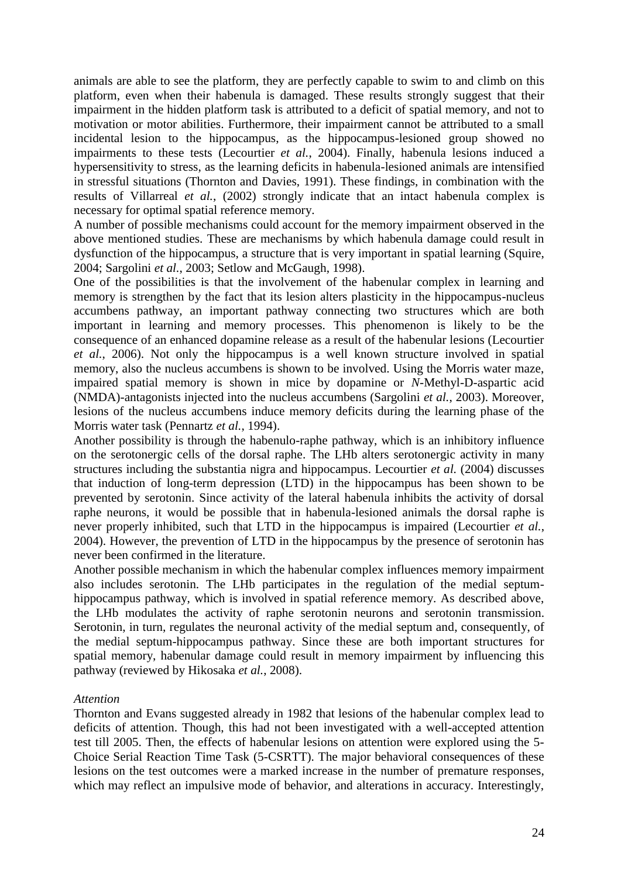animals are able to see the platform, they are perfectly capable to swim to and climb on this platform, even when their habenula is damaged. These results strongly suggest that their impairment in the hidden platform task is attributed to a deficit of spatial memory, and not to motivation or motor abilities. Furthermore, their impairment cannot be attributed to a small incidental lesion to the hippocampus, as the hippocampus-lesioned group showed no impairments to these tests (Lecourtier *et al.*, 2004). Finally, habenula lesions induced a hypersensitivity to stress, as the learning deficits in habenula-lesioned animals are intensified in stressful situations (Thornton and Davies, 1991). These findings, in combination with the results of Villarreal *et al.*, (2002) strongly indicate that an intact habenula complex is necessary for optimal spatial reference memory.

A number of possible mechanisms could account for the memory impairment observed in the above mentioned studies. These are mechanisms by which habenula damage could result in dysfunction of the hippocampus, a structure that is very important in spatial learning (Squire, 2004; Sargolini *et al.*, 2003; Setlow and McGaugh, 1998).

One of the possibilities is that the involvement of the habenular complex in learning and memory is strengthen by the fact that its lesion alters plasticity in the hippocampus-nucleus accumbens pathway, an important pathway connecting two structures which are both important in learning and memory processes. This phenomenon is likely to be the consequence of an enhanced dopamine release as a result of the habenular lesions (Lecourtier *et al.*, 2006). Not only the hippocampus is a well known structure involved in spatial memory, also the nucleus accumbens is shown to be involved. Using the Morris water maze, impaired spatial memory is shown in mice by dopamine or *N*-Methyl-D-aspartic acid (NMDA)-antagonists injected into the nucleus accumbens (Sargolini *et al.*, 2003). Moreover, lesions of the nucleus accumbens induce memory deficits during the learning phase of the Morris water task (Pennartz *et al.*, 1994).

Another possibility is through the habenulo-raphe pathway, which is an inhibitory influence on the serotonergic cells of the dorsal raphe. The LHb alters serotonergic activity in many structures including the substantia nigra and hippocampus. Lecourtier *et al.* (2004) discusses that induction of long-term depression (LTD) in the hippocampus has been shown to be prevented by serotonin. Since activity of the lateral habenula inhibits the activity of dorsal raphe neurons, it would be possible that in habenula-lesioned animals the dorsal raphe is never properly inhibited, such that LTD in the hippocampus is impaired (Lecourtier *et al.*, 2004). However, the prevention of LTD in the hippocampus by the presence of serotonin has never been confirmed in the literature.

Another possible mechanism in which the habenular complex influences memory impairment also includes serotonin. The LHb participates in the regulation of the medial septumhippocampus pathway, which is involved in spatial reference memory. As described above, the LHb modulates the activity of raphe serotonin neurons and serotonin transmission. Serotonin, in turn, regulates the neuronal activity of the medial septum and, consequently, of the medial septum-hippocampus pathway. Since these are both important structures for spatial memory, habenular damage could result in memory impairment by influencing this pathway (reviewed by Hikosaka *et al.*, 2008).

#### *Attention*

Thornton and Evans suggested already in 1982 that lesions of the habenular complex lead to deficits of attention. Though, this had not been investigated with a well-accepted attention test till 2005. Then, the effects of habenular lesions on attention were explored using the 5- Choice Serial Reaction Time Task (5-CSRTT). The major behavioral consequences of these lesions on the test outcomes were a marked increase in the number of premature responses, which may reflect an impulsive mode of behavior, and alterations in accuracy. Interestingly,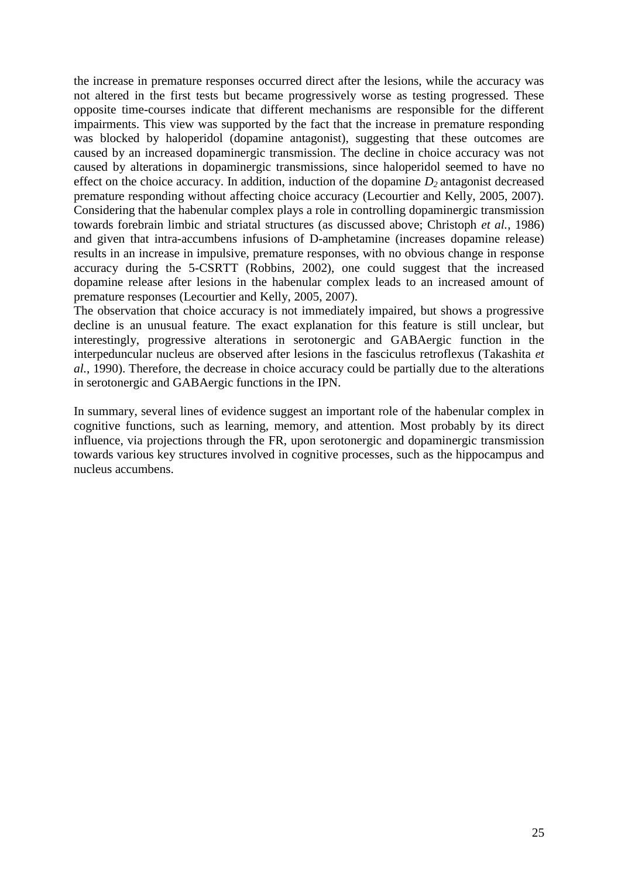the increase in premature responses occurred direct after the lesions, while the accuracy was not altered in the first tests but became progressively worse as testing progressed. These opposite time-courses indicate that different mechanisms are responsible for the different impairments. This view was supported by the fact that the increase in premature responding was blocked by haloperidol (dopamine antagonist), suggesting that these outcomes are caused by an increased dopaminergic transmission. The decline in choice accuracy was not caused by alterations in dopaminergic transmissions, since haloperidol seemed to have no effect on the choice accuracy. In addition, induction of the dopamine  $D_2$  antagonist decreased premature responding without affecting choice accuracy (Lecourtier and Kelly, 2005, 2007). Considering that the habenular complex plays a role in controlling dopaminergic transmission towards forebrain limbic and striatal structures (as discussed above; Christoph *et al.*, 1986) and given that intra-accumbens infusions of D-amphetamine (increases dopamine release) results in an increase in impulsive, premature responses, with no obvious change in response accuracy during the 5-CSRTT (Robbins, 2002), one could suggest that the increased dopamine release after lesions in the habenular complex leads to an increased amount of premature responses (Lecourtier and Kelly, 2005, 2007).

The observation that choice accuracy is not immediately impaired, but shows a progressive decline is an unusual feature. The exact explanation for this feature is still unclear, but interestingly, progressive alterations in serotonergic and GABAergic function in the interpeduncular nucleus are observed after lesions in the fasciculus retroflexus (Takashita *et al.*, 1990). Therefore, the decrease in choice accuracy could be partially due to the alterations in serotonergic and GABAergic functions in the IPN.

In summary, several lines of evidence suggest an important role of the habenular complex in cognitive functions, such as learning, memory, and attention. Most probably by its direct influence, via projections through the FR, upon serotonergic and dopaminergic transmission towards various key structures involved in cognitive processes, such as the hippocampus and nucleus accumbens.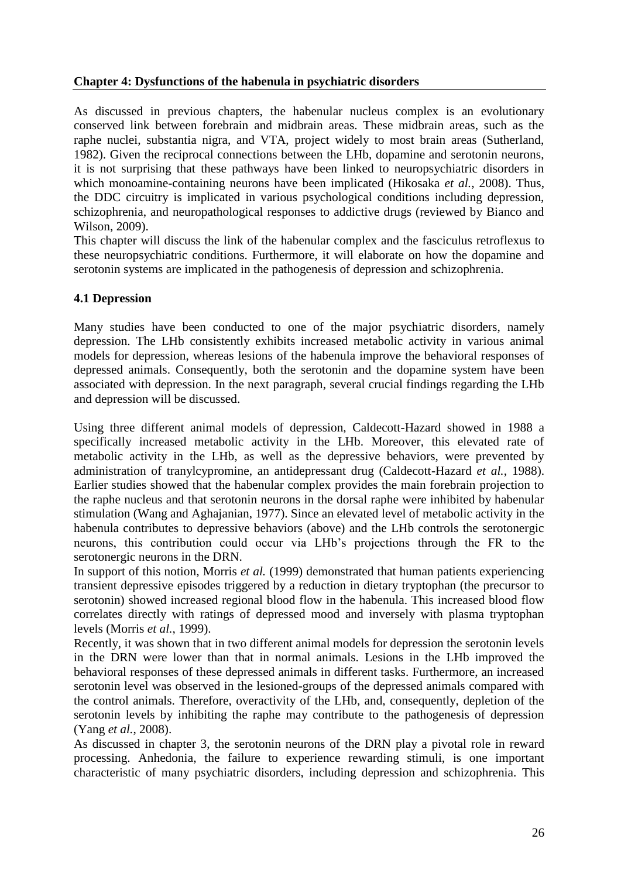# **Chapter 4: Dysfunctions of the habenula in psychiatric disorders**

As discussed in previous chapters, the habenular nucleus complex is an evolutionary conserved link between forebrain and midbrain areas. These midbrain areas, such as the raphe nuclei, substantia nigra, and VTA, project widely to most brain areas (Sutherland, 1982). Given the reciprocal connections between the LHb, dopamine and serotonin neurons, it is not surprising that these pathways have been linked to neuropsychiatric disorders in which monoamine-containing neurons have been implicated (Hikosaka *et al.*, 2008). Thus, the DDC circuitry is implicated in various psychological conditions including depression, schizophrenia, and neuropathological responses to addictive drugs (reviewed by Bianco and Wilson, 2009).

This chapter will discuss the link of the habenular complex and the fasciculus retroflexus to these neuropsychiatric conditions. Furthermore, it will elaborate on how the dopamine and serotonin systems are implicated in the pathogenesis of depression and schizophrenia.

# **4.1 Depression**

Many studies have been conducted to one of the major psychiatric disorders, namely depression. The LHb consistently exhibits increased metabolic activity in various animal models for depression, whereas lesions of the habenula improve the behavioral responses of depressed animals. Consequently, both the serotonin and the dopamine system have been associated with depression. In the next paragraph, several crucial findings regarding the LHb and depression will be discussed.

Using three different animal models of depression, Caldecott-Hazard showed in 1988 a specifically increased metabolic activity in the LHb. Moreover, this elevated rate of metabolic activity in the LHb, as well as the depressive behaviors, were prevented by administration of tranylcypromine, an antidepressant drug (Caldecott-Hazard *et al.*, 1988). Earlier studies showed that the habenular complex provides the main forebrain projection to the raphe nucleus and that serotonin neurons in the dorsal raphe were inhibited by habenular stimulation (Wang and Aghajanian, 1977). Since an elevated level of metabolic activity in the habenula contributes to depressive behaviors (above) and the LHb controls the serotonergic neurons, this contribution could occur via LHb's projections through the FR to the serotonergic neurons in the DRN.

In support of this notion, Morris *et al.* (1999) demonstrated that human patients experiencing transient depressive episodes triggered by a reduction in dietary tryptophan (the precursor to serotonin) showed increased regional blood flow in the habenula. This increased blood flow correlates directly with ratings of depressed mood and inversely with plasma tryptophan levels (Morris *et al.*, 1999).

Recently, it was shown that in two different animal models for depression the serotonin levels in the DRN were lower than that in normal animals. Lesions in the LHb improved the behavioral responses of these depressed animals in different tasks. Furthermore, an increased serotonin level was observed in the lesioned-groups of the depressed animals compared with the control animals. Therefore, overactivity of the LHb, and, consequently, depletion of the serotonin levels by inhibiting the raphe may contribute to the pathogenesis of depression (Yang *et al.*, 2008).

As discussed in chapter 3, the serotonin neurons of the DRN play a pivotal role in reward processing. Anhedonia, the failure to experience rewarding stimuli, is one important characteristic of many psychiatric disorders, including depression and schizophrenia. This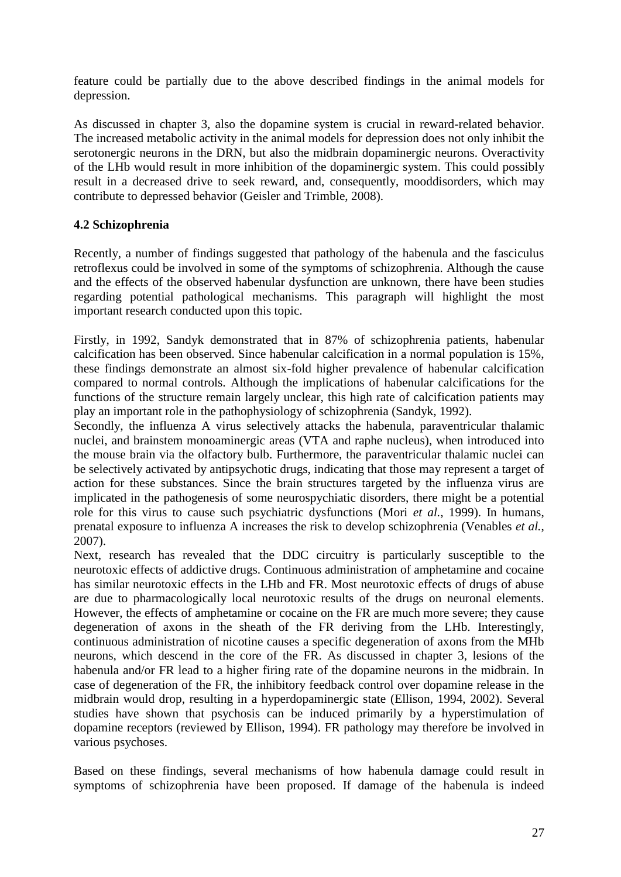feature could be partially due to the above described findings in the animal models for depression.

As discussed in chapter 3, also the dopamine system is crucial in reward-related behavior. The increased metabolic activity in the animal models for depression does not only inhibit the serotonergic neurons in the DRN, but also the midbrain dopaminergic neurons. Overactivity of the LHb would result in more inhibition of the dopaminergic system. This could possibly result in a decreased drive to seek reward, and, consequently, mooddisorders, which may contribute to depressed behavior (Geisler and Trimble, 2008).

# **4.2 Schizophrenia**

Recently, a number of findings suggested that pathology of the habenula and the fasciculus retroflexus could be involved in some of the symptoms of schizophrenia. Although the cause and the effects of the observed habenular dysfunction are unknown, there have been studies regarding potential pathological mechanisms. This paragraph will highlight the most important research conducted upon this topic.

Firstly, in 1992, Sandyk demonstrated that in 87% of schizophrenia patients, habenular calcification has been observed. Since habenular calcification in a normal population is 15%, these findings demonstrate an almost six-fold higher prevalence of habenular calcification compared to normal controls. Although the implications of habenular calcifications for the functions of the structure remain largely unclear, this high rate of calcification patients may play an important role in the pathophysiology of schizophrenia (Sandyk, 1992).

Secondly, the influenza A virus selectively attacks the habenula, paraventricular thalamic nuclei, and brainstem monoaminergic areas (VTA and raphe nucleus), when introduced into the mouse brain via the olfactory bulb. Furthermore, the paraventricular thalamic nuclei can be selectively activated by antipsychotic drugs, indicating that those may represent a target of action for these substances. Since the brain structures targeted by the influenza virus are implicated in the pathogenesis of some neurospychiatic disorders, there might be a potential role for this virus to cause such psychiatric dysfunctions (Mori *et al.*, 1999). In humans, prenatal exposure to influenza A increases the risk to develop schizophrenia (Venables *et al.*, 2007).

Next, research has revealed that the DDC circuitry is particularly susceptible to the neurotoxic effects of addictive drugs. Continuous administration of amphetamine and cocaine has similar neurotoxic effects in the LHb and FR. Most neurotoxic effects of drugs of abuse are due to pharmacologically local neurotoxic results of the drugs on neuronal elements. However, the effects of amphetamine or cocaine on the FR are much more severe; they cause degeneration of axons in the sheath of the FR deriving from the LHb. Interestingly, continuous administration of nicotine causes a specific degeneration of axons from the MHb neurons, which descend in the core of the FR. As discussed in chapter 3, lesions of the habenula and/or FR lead to a higher firing rate of the dopamine neurons in the midbrain. In case of degeneration of the FR, the inhibitory feedback control over dopamine release in the midbrain would drop, resulting in a hyperdopaminergic state (Ellison, 1994, 2002). Several studies have shown that psychosis can be induced primarily by a hyperstimulation of dopamine receptors (reviewed by Ellison, 1994). FR pathology may therefore be involved in various psychoses.

Based on these findings, several mechanisms of how habenula damage could result in symptoms of schizophrenia have been proposed. If damage of the habenula is indeed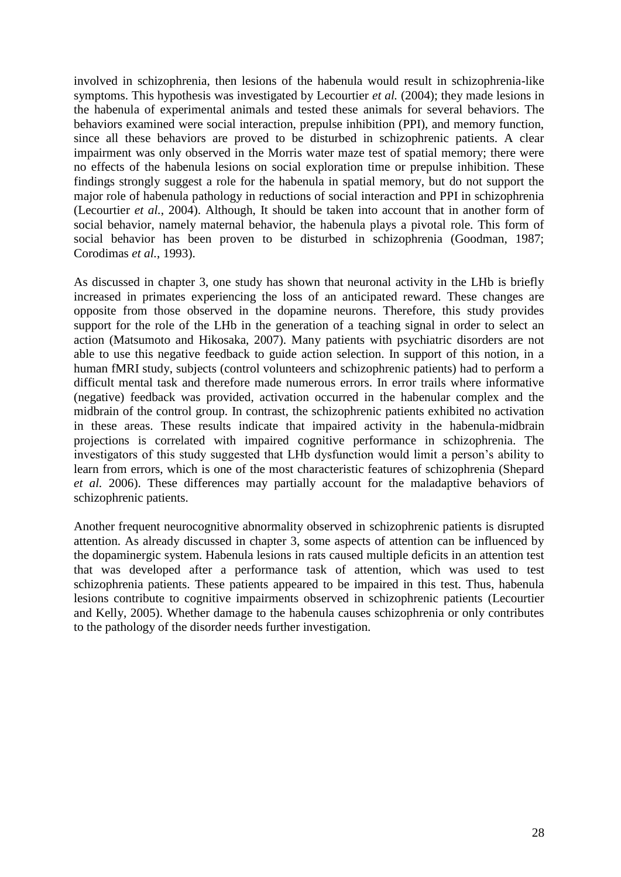involved in schizophrenia, then lesions of the habenula would result in schizophrenia-like symptoms. This hypothesis was investigated by Lecourtier *et al.* (2004); they made lesions in the habenula of experimental animals and tested these animals for several behaviors. The behaviors examined were social interaction, prepulse inhibition (PPI), and memory function, since all these behaviors are proved to be disturbed in schizophrenic patients. A clear impairment was only observed in the Morris water maze test of spatial memory; there were no effects of the habenula lesions on social exploration time or prepulse inhibition. These findings strongly suggest a role for the habenula in spatial memory, but do not support the major role of habenula pathology in reductions of social interaction and PPI in schizophrenia (Lecourtier *et al.*, 2004). Although, It should be taken into account that in another form of social behavior, namely maternal behavior, the habenula plays a pivotal role. This form of social behavior has been proven to be disturbed in schizophrenia (Goodman, 1987; Corodimas *et al.*, 1993).

As discussed in chapter 3, one study has shown that neuronal activity in the LHb is briefly increased in primates experiencing the loss of an anticipated reward. These changes are opposite from those observed in the dopamine neurons. Therefore, this study provides support for the role of the LHb in the generation of a teaching signal in order to select an action (Matsumoto and Hikosaka, 2007). Many patients with psychiatric disorders are not able to use this negative feedback to guide action selection. In support of this notion, in a human fMRI study, subjects (control volunteers and schizophrenic patients) had to perform a difficult mental task and therefore made numerous errors. In error trails where informative (negative) feedback was provided, activation occurred in the habenular complex and the midbrain of the control group. In contrast, the schizophrenic patients exhibited no activation in these areas. These results indicate that impaired activity in the habenula-midbrain projections is correlated with impaired cognitive performance in schizophrenia. The investigators of this study suggested that LHb dysfunction would limit a person's ability to learn from errors, which is one of the most characteristic features of schizophrenia (Shepard *et al.* 2006). These differences may partially account for the maladaptive behaviors of schizophrenic patients.

Another frequent neurocognitive abnormality observed in schizophrenic patients is disrupted attention. As already discussed in chapter 3, some aspects of attention can be influenced by the dopaminergic system. Habenula lesions in rats caused multiple deficits in an attention test that was developed after a performance task of attention, which was used to test schizophrenia patients. These patients appeared to be impaired in this test. Thus, habenula lesions contribute to cognitive impairments observed in schizophrenic patients (Lecourtier and Kelly, 2005). Whether damage to the habenula causes schizophrenia or only contributes to the pathology of the disorder needs further investigation.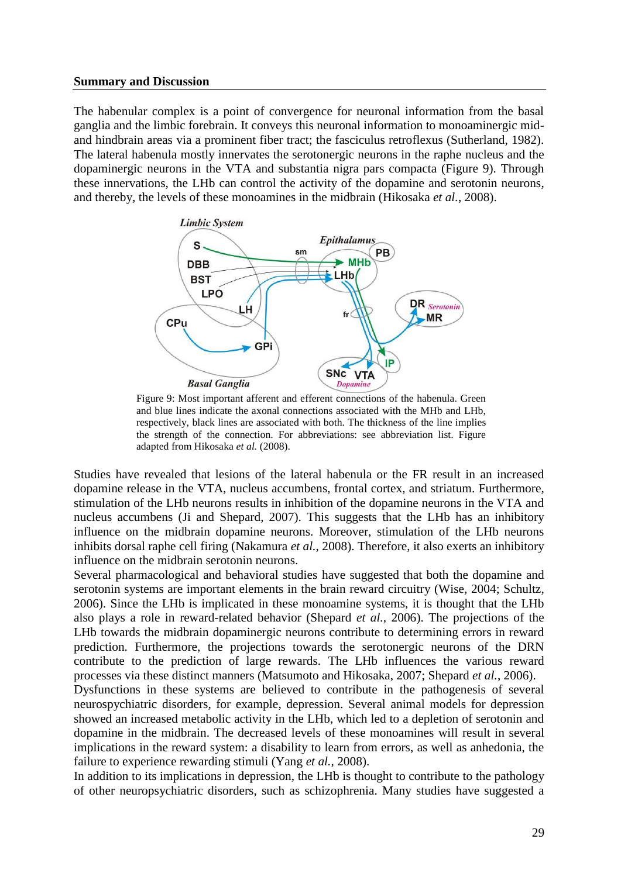#### **Summary and Discussion**

The habenular complex is a point of convergence for neuronal information from the basal ganglia and the limbic forebrain. It conveys this neuronal information to monoaminergic midand hindbrain areas via a prominent fiber tract; the fasciculus retroflexus (Sutherland, 1982). The lateral habenula mostly innervates the serotonergic neurons in the raphe nucleus and the dopaminergic neurons in the VTA and substantia nigra pars compacta (Figure 9). Through these innervations, the LHb can control the activity of the dopamine and serotonin neurons, and thereby, the levels of these monoamines in the midbrain (Hikosaka *et al.*, 2008).



Figure 9: Most important afferent and efferent connections of the habenula. Green and blue lines indicate the axonal connections associated with the MHb and LHb, respectively, black lines are associated with both. The thickness of the line implies the strength of the connection. For abbreviations: see abbreviation list. Figure adapted from Hikosaka *et al.* (2008).

Studies have revealed that lesions of the lateral habenula or the FR result in an increased dopamine release in the VTA, nucleus accumbens, frontal cortex, and striatum. Furthermore, stimulation of the LHb neurons results in inhibition of the dopamine neurons in the VTA and nucleus accumbens (Ji and Shepard, 2007). This suggests that the LHb has an inhibitory influence on the midbrain dopamine neurons. Moreover, stimulation of the LHb neurons inhibits dorsal raphe cell firing (Nakamura *et al.*, 2008). Therefore, it also exerts an inhibitory influence on the midbrain serotonin neurons.

Several pharmacological and behavioral studies have suggested that both the dopamine and serotonin systems are important elements in the brain reward circuitry (Wise, 2004; Schultz, 2006). Since the LHb is implicated in these monoamine systems, it is thought that the LHb also plays a role in reward-related behavior (Shepard *et al.*, 2006). The projections of the LHb towards the midbrain dopaminergic neurons contribute to determining errors in reward prediction. Furthermore, the projections towards the serotonergic neurons of the DRN contribute to the prediction of large rewards. The LHb influences the various reward processes via these distinct manners (Matsumoto and Hikosaka, 2007; Shepard *et al.*, 2006).

Dysfunctions in these systems are believed to contribute in the pathogenesis of several neurospychiatric disorders, for example, depression. Several animal models for depression showed an increased metabolic activity in the LHb, which led to a depletion of serotonin and dopamine in the midbrain. The decreased levels of these monoamines will result in several implications in the reward system: a disability to learn from errors, as well as anhedonia, the failure to experience rewarding stimuli (Yang *et al.*, 2008).

In addition to its implications in depression, the LHb is thought to contribute to the pathology of other neuropsychiatric disorders, such as schizophrenia. Many studies have suggested a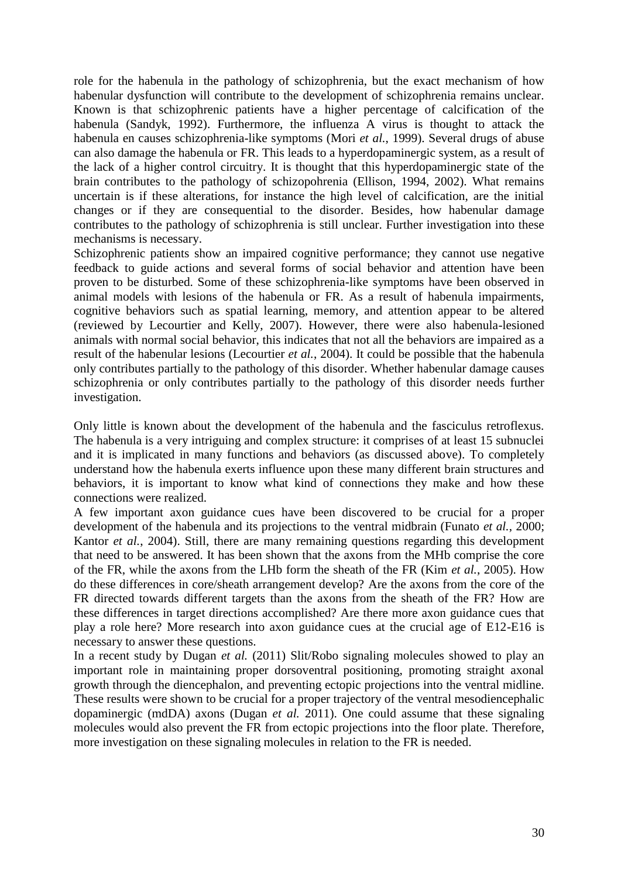role for the habenula in the pathology of schizophrenia, but the exact mechanism of how habenular dysfunction will contribute to the development of schizophrenia remains unclear. Known is that schizophrenic patients have a higher percentage of calcification of the habenula (Sandyk, 1992). Furthermore, the influenza A virus is thought to attack the habenula en causes schizophrenia-like symptoms (Mori *et al.*, 1999). Several drugs of abuse can also damage the habenula or FR. This leads to a hyperdopaminergic system, as a result of the lack of a higher control circuitry. It is thought that this hyperdopaminergic state of the brain contributes to the pathology of schizopohrenia (Ellison, 1994, 2002). What remains uncertain is if these alterations, for instance the high level of calcification, are the initial changes or if they are consequential to the disorder. Besides, how habenular damage contributes to the pathology of schizophrenia is still unclear. Further investigation into these mechanisms is necessary.

Schizophrenic patients show an impaired cognitive performance; they cannot use negative feedback to guide actions and several forms of social behavior and attention have been proven to be disturbed. Some of these schizophrenia-like symptoms have been observed in animal models with lesions of the habenula or FR. As a result of habenula impairments, cognitive behaviors such as spatial learning, memory, and attention appear to be altered (reviewed by Lecourtier and Kelly, 2007). However, there were also habenula-lesioned animals with normal social behavior, this indicates that not all the behaviors are impaired as a result of the habenular lesions (Lecourtier *et al.*, 2004). It could be possible that the habenula only contributes partially to the pathology of this disorder. Whether habenular damage causes schizophrenia or only contributes partially to the pathology of this disorder needs further investigation.

Only little is known about the development of the habenula and the fasciculus retroflexus. The habenula is a very intriguing and complex structure: it comprises of at least 15 subnuclei and it is implicated in many functions and behaviors (as discussed above). To completely understand how the habenula exerts influence upon these many different brain structures and behaviors, it is important to know what kind of connections they make and how these connections were realized.

A few important axon guidance cues have been discovered to be crucial for a proper development of the habenula and its projections to the ventral midbrain (Funato *et al.*, 2000; Kantor *et al.*, 2004). Still, there are many remaining questions regarding this development that need to be answered. It has been shown that the axons from the MHb comprise the core of the FR, while the axons from the LHb form the sheath of the FR (Kim *et al.*, 2005). How do these differences in core/sheath arrangement develop? Are the axons from the core of the FR directed towards different targets than the axons from the sheath of the FR? How are these differences in target directions accomplished? Are there more axon guidance cues that play a role here? More research into axon guidance cues at the crucial age of E12-E16 is necessary to answer these questions.

In a recent study by Dugan *et al.* (2011) Slit/Robo signaling molecules showed to play an important role in maintaining proper dorsoventral positioning, promoting straight axonal growth through the diencephalon, and preventing ectopic projections into the ventral midline. These results were shown to be crucial for a proper trajectory of the ventral mesodiencephalic dopaminergic (mdDA) axons (Dugan *et al.* 2011). One could assume that these signaling molecules would also prevent the FR from ectopic projections into the floor plate. Therefore, more investigation on these signaling molecules in relation to the FR is needed.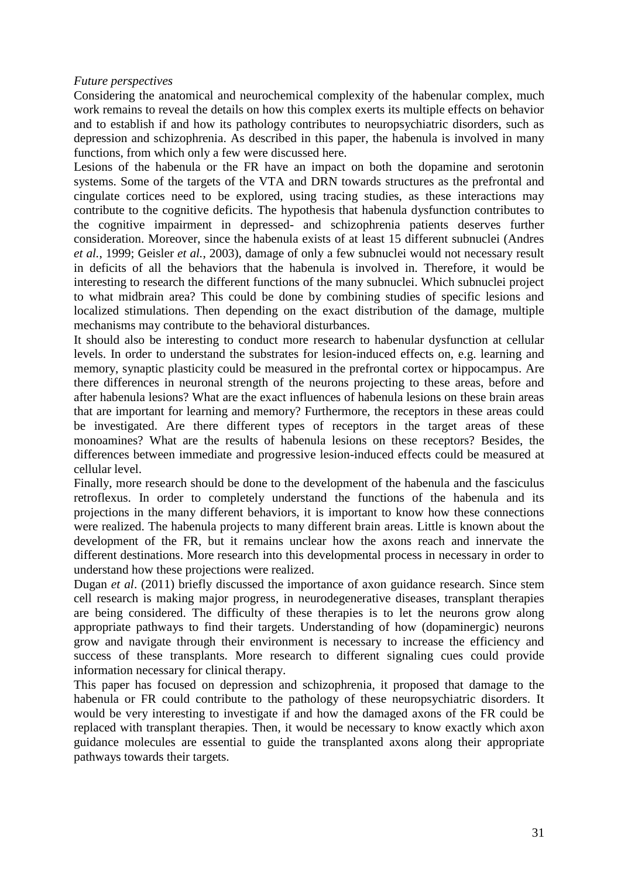## *Future perspectives*

Considering the anatomical and neurochemical complexity of the habenular complex, much work remains to reveal the details on how this complex exerts its multiple effects on behavior and to establish if and how its pathology contributes to neuropsychiatric disorders, such as depression and schizophrenia. As described in this paper, the habenula is involved in many functions, from which only a few were discussed here.

Lesions of the habenula or the FR have an impact on both the dopamine and serotonin systems. Some of the targets of the VTA and DRN towards structures as the prefrontal and cingulate cortices need to be explored, using tracing studies, as these interactions may contribute to the cognitive deficits. The hypothesis that habenula dysfunction contributes to the cognitive impairment in depressed- and schizophrenia patients deserves further consideration. Moreover, since the habenula exists of at least 15 different subnuclei (Andres *et al.*, 1999; Geisler *et al.*, 2003), damage of only a few subnuclei would not necessary result in deficits of all the behaviors that the habenula is involved in. Therefore, it would be interesting to research the different functions of the many subnuclei. Which subnuclei project to what midbrain area? This could be done by combining studies of specific lesions and localized stimulations. Then depending on the exact distribution of the damage, multiple mechanisms may contribute to the behavioral disturbances.

It should also be interesting to conduct more research to habenular dysfunction at cellular levels. In order to understand the substrates for lesion-induced effects on, e.g. learning and memory, synaptic plasticity could be measured in the prefrontal cortex or hippocampus. Are there differences in neuronal strength of the neurons projecting to these areas, before and after habenula lesions? What are the exact influences of habenula lesions on these brain areas that are important for learning and memory? Furthermore, the receptors in these areas could be investigated. Are there different types of receptors in the target areas of these monoamines? What are the results of habenula lesions on these receptors? Besides, the differences between immediate and progressive lesion-induced effects could be measured at cellular level.

Finally, more research should be done to the development of the habenula and the fasciculus retroflexus. In order to completely understand the functions of the habenula and its projections in the many different behaviors, it is important to know how these connections were realized. The habenula projects to many different brain areas. Little is known about the development of the FR, but it remains unclear how the axons reach and innervate the different destinations. More research into this developmental process in necessary in order to understand how these projections were realized.

Dugan *et al*. (2011) briefly discussed the importance of axon guidance research. Since stem cell research is making major progress, in neurodegenerative diseases, transplant therapies are being considered. The difficulty of these therapies is to let the neurons grow along appropriate pathways to find their targets. Understanding of how (dopaminergic) neurons grow and navigate through their environment is necessary to increase the efficiency and success of these transplants. More research to different signaling cues could provide information necessary for clinical therapy.

This paper has focused on depression and schizophrenia, it proposed that damage to the habenula or FR could contribute to the pathology of these neuropsychiatric disorders. It would be very interesting to investigate if and how the damaged axons of the FR could be replaced with transplant therapies. Then, it would be necessary to know exactly which axon guidance molecules are essential to guide the transplanted axons along their appropriate pathways towards their targets.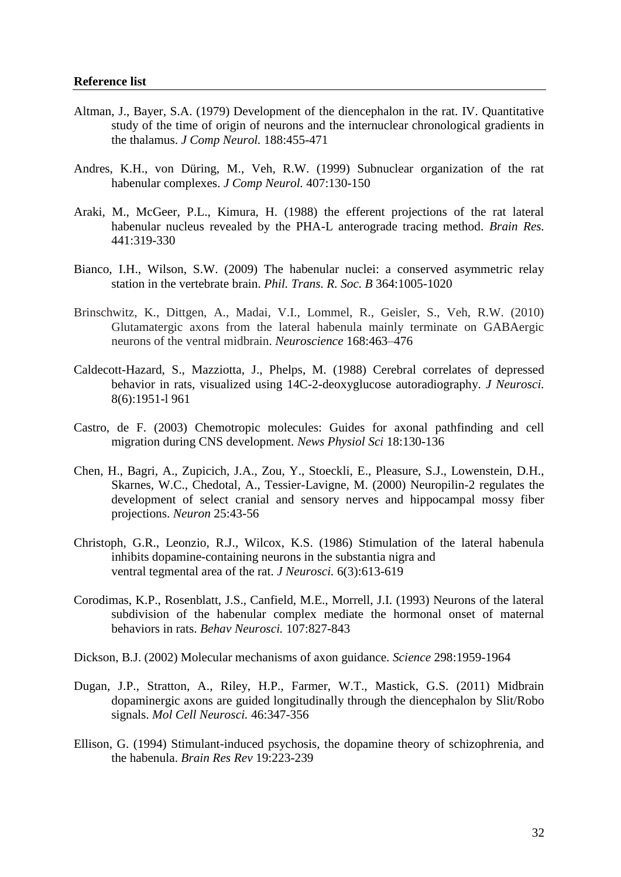- Altman, J., Bayer, S.A. (1979) Development of the diencephalon in the rat. IV. Quantitative study of the time of origin of neurons and the internuclear chronological gradients in the thalamus. *J Comp Neurol.* 188:455-471
- Andres, K.H., von Düring, M., Veh, R.W. (1999) Subnuclear organization of the rat habenular complexes. *J Comp Neurol.* 407:130-150
- Araki, M., McGeer, P.L., Kimura, H. (1988) the efferent projections of the rat lateral habenular nucleus revealed by the PHA-L anterograde tracing method. *Brain Res.* 441:319-330
- Bianco, I.H., Wilson, S.W. (2009) The habenular nuclei: a conserved asymmetric relay station in the vertebrate brain. *Phil. Trans. R. Soc. B* 364:1005-1020
- Brinschwitz, K., Dittgen, A., Madai, V.I., Lommel, R., Geisler, S., Veh, R.W. (2010) Glutamatergic axons from the lateral habenula mainly terminate on GABAergic neurons of the ventral midbrain. *Neuroscience* 168:463–476
- Caldecott-Hazard, S., Mazziotta, J., Phelps, M. (1988) Cerebral correlates of depressed behavior in rats, visualized using 14C-2-deoxyglucose autoradiography. *J Neurosci.* 8(6):1951-l 961
- Castro, de F. (2003) Chemotropic molecules: Guides for axonal pathfinding and cell migration during CNS development. *News Physiol Sci* 18:130-136
- Chen, H., Bagri, A., Zupicich, J.A., Zou, Y., Stoeckli, E., Pleasure, S.J., Lowenstein, D.H., Skarnes, W.C., Chedotal, A., Tessier-Lavigne, M. (2000) Neuropilin-2 regulates the development of select cranial and sensory nerves and hippocampal mossy fiber projections. *Neuron* 25:43-56
- Christoph, G.R., Leonzio, R.J., Wilcox, K.S. (1986) Stimulation of the lateral habenula inhibits dopamine-containing neurons in the substantia nigra and ventral tegmental area of the rat. *J Neurosci.* 6(3):613-619
- Corodimas, K.P., Rosenblatt, J.S., Canfield, M.E., Morrell, J.I. (1993) Neurons of the lateral subdivision of the habenular complex mediate the hormonal onset of maternal behaviors in rats. *Behav Neurosci.* 107:827-843
- Dickson, B.J. (2002) Molecular mechanisms of axon guidance. *Science* 298:1959-1964
- Dugan, J.P., Stratton, A., Riley, H.P., Farmer, W.T., Mastick, G.S. (2011) Midbrain dopaminergic axons are guided longitudinally through the diencephalon by Slit/Robo signals. *Mol Cell Neurosci.* 46:347-356
- Ellison, G. (1994) Stimulant-induced psychosis, the dopamine theory of schizophrenia, and the habenula. *Brain Res Rev* 19:223-239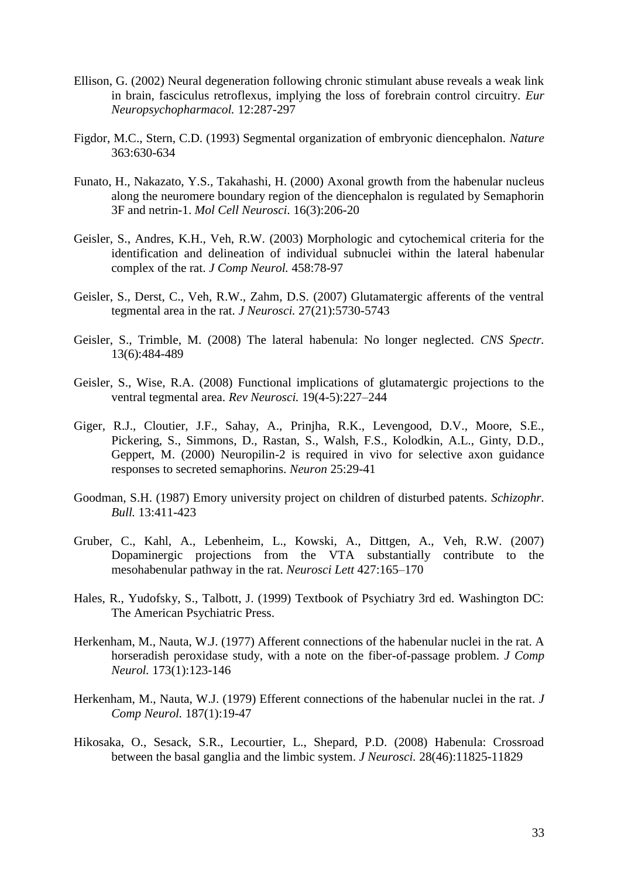- Ellison, G. (2002) Neural degeneration following chronic stimulant abuse reveals a weak link in brain, fasciculus retroflexus, implying the loss of forebrain control circuitry. *Eur Neuropsychopharmacol.* 12:287-297
- Figdor, M.C., Stern, C.D. (1993) Segmental organization of embryonic diencephalon. *Nature* 363:630-634
- Funato, H., Nakazato, Y.S., Takahashi, H. (2000) Axonal growth from the habenular nucleus along the neuromere boundary region of the diencephalon is regulated by Semaphorin 3F and netrin-1. *Mol Cell Neurosci.* 16(3):206-20
- Geisler, S., Andres, K.H., Veh, R.W. (2003) Morphologic and cytochemical criteria for the identification and delineation of individual subnuclei within the lateral habenular complex of the rat. *J Comp Neurol.* 458:78-97
- Geisler, S., Derst, C., Veh, R.W., Zahm, D.S. (2007) Glutamatergic afferents of the ventral tegmental area in the rat. *J Neurosci.* 27(21):5730-5743
- Geisler, S., Trimble, M. (2008) The lateral habenula: No longer neglected. *CNS Spectr.* 13(6):484-489
- Geisler, S., Wise, R.A. (2008) Functional implications of glutamatergic projections to the ventral tegmental area. *Rev Neurosci.* 19(4-5):227–244
- Giger, R.J., Cloutier, J.F., Sahay, A., Prinjha, R.K., Levengood, D.V., Moore, S.E., Pickering, S., Simmons, D., Rastan, S., Walsh, F.S., Kolodkin, A.L., Ginty, D.D., Geppert, M. (2000) Neuropilin-2 is required in vivo for selective axon guidance responses to secreted semaphorins. *Neuron* 25:29-41
- Goodman, S.H. (1987) Emory university project on children of disturbed patents. *Schizophr. Bull.* 13:411-423
- Gruber, C., Kahl, A., Lebenheim, L., Kowski, A., Dittgen, A., Veh, R.W. (2007) Dopaminergic projections from the VTA substantially contribute to the mesohabenular pathway in the rat. *Neurosci Lett* 427:165–170
- Hales, R., Yudofsky, S., Talbott, J. (1999) Textbook of Psychiatry 3rd ed. Washington DC: The American Psychiatric Press.
- Herkenham, M., Nauta, W.J. (1977) Afferent connections of the habenular nuclei in the rat. A horseradish peroxidase study, with a note on the fiber-of-passage problem. *J Comp Neurol.* 173(1):123-146
- Herkenham, M., Nauta, W.J. (1979) Efferent connections of the habenular nuclei in the rat. *J Comp Neurol.* 187(1):19-47
- Hikosaka, O., Sesack, S.R., Lecourtier, L., Shepard, P.D. (2008) Habenula: Crossroad between the basal ganglia and the limbic system. *J Neurosci.* 28(46):11825-11829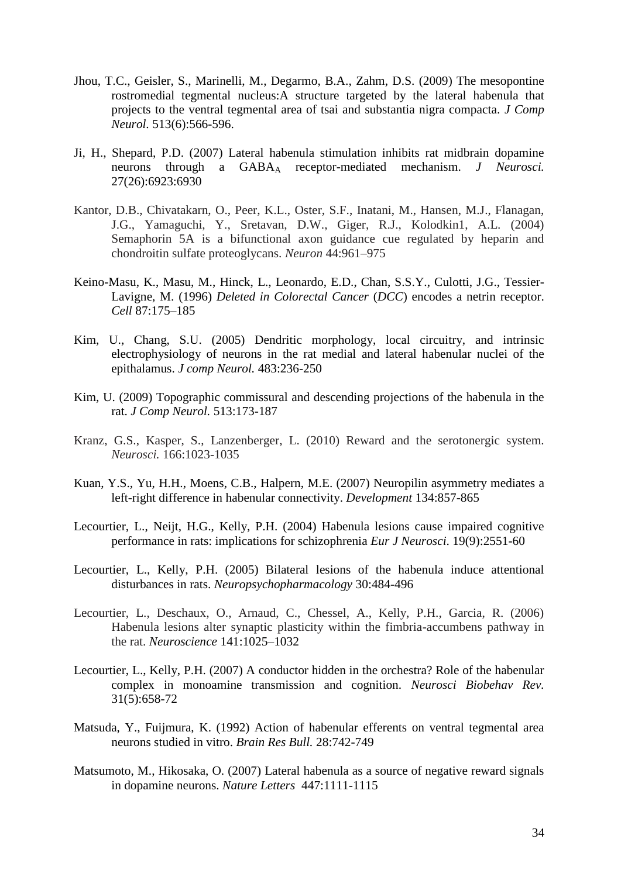- Jhou, T.C., Geisler, S., Marinelli, M., Degarmo, B.A., Zahm, D.S. (2009) The mesopontine rostromedial tegmental nucleus:A structure targeted by the lateral habenula that projects to the ventral tegmental area of tsai and substantia nigra compacta. *J Comp Neurol.* 513(6):566-596.
- Ji, H., Shepard, P.D. (2007) Lateral habenula stimulation inhibits rat midbrain dopamine neurons through a GABA<sup>A</sup> receptor-mediated mechanism. *J Neurosci.* 27(26):6923:6930
- Kantor, D.B., Chivatakarn, O., Peer, K.L., Oster, S.F., Inatani, M., Hansen, M.J., Flanagan, J.G., Yamaguchi, Y., Sretavan, D.W., Giger, R.J., Kolodkin1, A.L. (2004) Semaphorin 5A is a bifunctional axon guidance cue regulated by heparin and chondroitin sulfate proteoglycans. *Neuron* 44:961–975
- Keino-Masu, K., Masu, M., Hinck, L., Leonardo, E.D., Chan, S.S.Y., Culotti, J.G., Tessier-Lavigne, M. (1996) *Deleted in Colorectal Cancer* (*DCC*) encodes a netrin receptor. *Cell* 87:175–185
- Kim, U., Chang, S.U. (2005) Dendritic morphology, local circuitry, and intrinsic electrophysiology of neurons in the rat medial and lateral habenular nuclei of the epithalamus. *J comp Neurol.* 483:236-250
- Kim, U. (2009) Topographic commissural and descending projections of the habenula in the rat. *J Comp Neurol.* 513:173-187
- Kranz, G.S., Kasper, S., Lanzenberger, L. (2010) Reward and the serotonergic system. *Neurosci.* 166:1023-1035
- Kuan, Y.S., Yu, H.H., Moens, C.B., Halpern, M.E. (2007) Neuropilin asymmetry mediates a left-right difference in habenular connectivity. *Development* 134:857-865
- Lecourtier, L., Neijt, H.G., Kelly, P.H. (2004) Habenula lesions cause impaired cognitive performance in rats: implications for schizophrenia *Eur J Neurosci*. 19(9):2551-60
- Lecourtier, L., Kelly, P.H. (2005) Bilateral lesions of the habenula induce attentional disturbances in rats. *Neuropsychopharmacology* 30:484-496
- Lecourtier, L., Deschaux, O., Arnaud, C., Chessel, A., Kelly, P.H., Garcia, R. (2006) Habenula lesions alter synaptic plasticity within the fimbria-accumbens pathway in the rat. *Neuroscience* 141:1025–1032
- Lecourtier, L., Kelly, P.H. (2007) A conductor hidden in the orchestra? Role of the habenular complex in monoamine transmission and cognition. *Neurosci Biobehav Rev.* 31(5):658-72
- Matsuda, Y., Fuijmura, K. (1992) Action of habenular efferents on ventral tegmental area neurons studied in vitro. *Brain Res Bull.* 28:742-749
- Matsumoto, M., Hikosaka, O. (2007) Lateral habenula as a source of negative reward signals in dopamine neurons. *Nature Letters* 447:1111-1115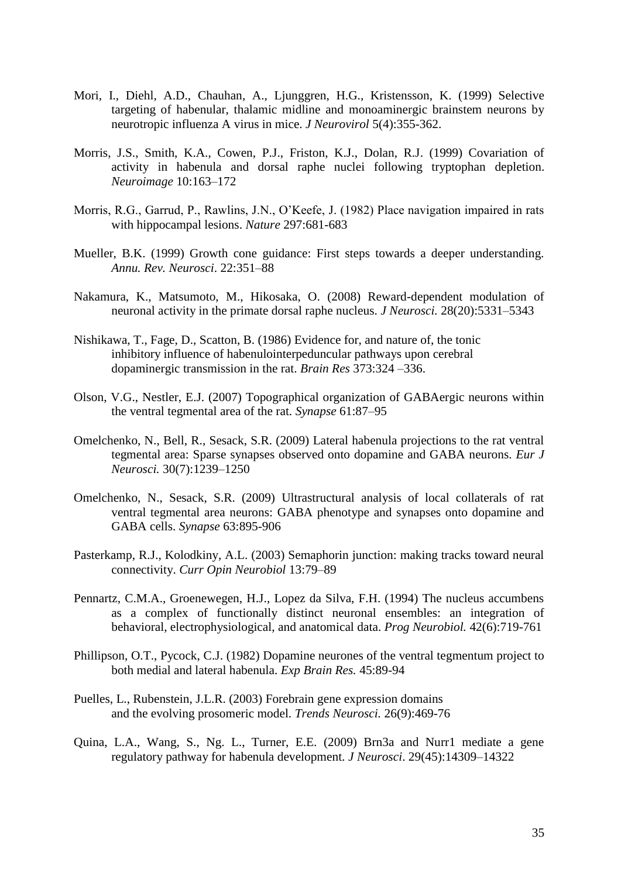- Mori, I., Diehl, A.D., Chauhan, A., Ljunggren, H.G., Kristensson, K. (1999) Selective targeting of habenular, thalamic midline and monoaminergic brainstem neurons by neurotropic influenza A virus in mice. *J Neurovirol* 5(4):355-362.
- Morris, J.S., Smith, K.A., Cowen, P.J., Friston, K.J., Dolan, R.J. (1999) Covariation of activity in habenula and dorsal raphe nuclei following tryptophan depletion. *Neuroimage* 10:163–172
- Morris, R.G., Garrud, P., Rawlins, J.N., O'Keefe, J. (1982) Place navigation impaired in rats with hippocampal lesions. *Nature* 297:681-683
- Mueller, B.K. (1999) Growth cone guidance: First steps towards a deeper understanding. *Annu. Rev. Neurosci*. 22:351–88
- Nakamura, K., Matsumoto, M., Hikosaka, O. (2008) Reward-dependent modulation of neuronal activity in the primate dorsal raphe nucleus. *J Neurosci.* 28(20):5331–5343
- Nishikawa, T., Fage, D., Scatton, B. (1986) Evidence for, and nature of, the tonic inhibitory influence of habenulointerpeduncular pathways upon cerebral dopaminergic transmission in the rat. *Brain Res* 373:324 –336.
- Olson, V.G., Nestler, E.J. (2007) Topographical organization of GABAergic neurons within the ventral tegmental area of the rat. *Synapse* 61:87–95
- Omelchenko, N., Bell, R., Sesack, S.R. (2009) Lateral habenula projections to the rat ventral tegmental area: Sparse synapses observed onto dopamine and GABA neurons. *Eur J Neurosci.* 30(7):1239–1250
- Omelchenko, N., Sesack, S.R. (2009) Ultrastructural analysis of local collaterals of rat ventral tegmental area neurons: GABA phenotype and synapses onto dopamine and GABA cells. *Synapse* 63:895-906
- Pasterkamp, R.J., Kolodkiny, A.L. (2003) Semaphorin junction: making tracks toward neural connectivity. *Curr Opin Neurobiol* 13:79–89
- Pennartz, C.M.A., Groenewegen, H.J., Lopez da Silva, F.H. (1994) The nucleus accumbens as a complex of functionally distinct neuronal ensembles: an integration of behavioral, electrophysiological, and anatomical data. *Prog Neurobiol.* 42(6):719-761
- Phillipson, O.T., Pycock, C.J. (1982) Dopamine neurones of the ventral tegmentum project to both medial and lateral habenula. *Exp Brain Res.* 45:89-94
- Puelles, L., Rubenstein, J.L.R. (2003) Forebrain gene expression domains and the evolving prosomeric model. *Trends Neurosci.* 26(9):469-76
- Quina, L.A., Wang, S., Ng. L., Turner, E.E. (2009) Brn3a and Nurr1 mediate a gene regulatory pathway for habenula development. *J Neurosci*. 29(45):14309–14322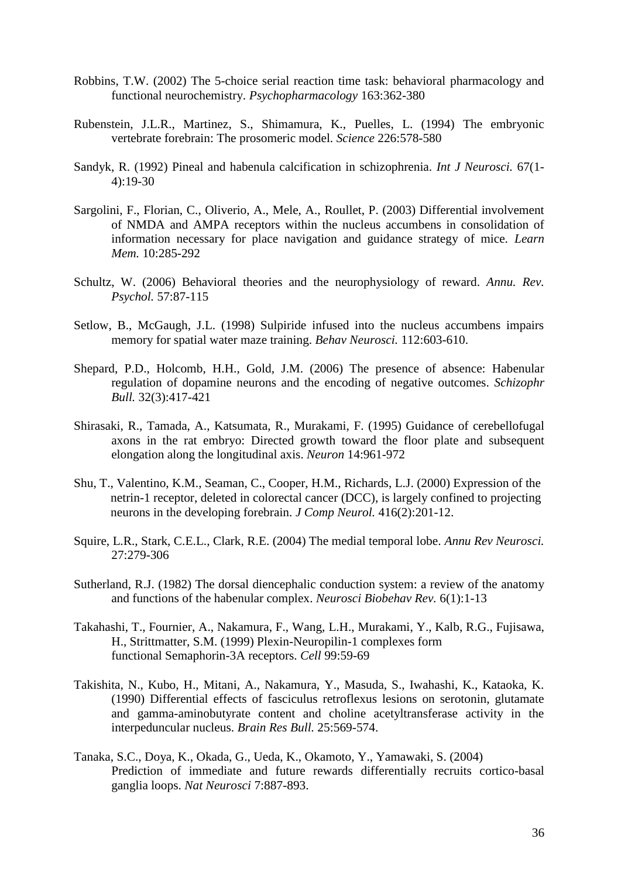- Robbins, T.W. (2002) The 5-choice serial reaction time task: behavioral pharmacology and functional neurochemistry. *Psychopharmacology* 163:362-380
- Rubenstein, J.L.R., Martinez, S., Shimamura, K., Puelles, L. (1994) The embryonic vertebrate forebrain: The prosomeric model. *Science* 226:578-580
- Sandyk, R. (1992) Pineal and habenula calcification in schizophrenia. *Int J Neurosci.* 67(1- 4):19-30
- Sargolini, F., Florian, C., Oliverio, A., Mele, A., Roullet, P. (2003) Differential involvement of NMDA and AMPA receptors within the nucleus accumbens in consolidation of information necessary for place navigation and guidance strategy of mice. *Learn Mem.* 10:285-292
- Schultz, W. (2006) Behavioral theories and the neurophysiology of reward. *Annu. Rev. Psychol.* 57:87-115
- Setlow, B., McGaugh, J.L. (1998) Sulpiride infused into the nucleus accumbens impairs memory for spatial water maze training. *Behav Neurosci.* 112:603-610.
- Shepard, P.D., Holcomb, H.H., Gold, J.M. (2006) The presence of absence: Habenular regulation of dopamine neurons and the encoding of negative outcomes. *Schizophr Bull.* 32(3):417-421
- Shirasaki, R., Tamada, A., Katsumata, R., Murakami, F. (1995) Guidance of cerebellofugal axons in the rat embryo: Directed growth toward the floor plate and subsequent elongation along the longitudinal axis. *Neuron* 14:961-972
- Shu, T., Valentino, K.M., Seaman, C., Cooper, H.M., Richards, L.J. (2000) Expression of the netrin-1 receptor, deleted in colorectal cancer (DCC), is largely confined to projecting neurons in the developing forebrain. *J Comp Neurol.* 416(2):201-12.
- Squire, L.R., Stark, C.E.L., Clark, R.E. (2004) The medial temporal lobe. *Annu Rev Neurosci.* 27:279-306
- Sutherland, R.J. (1982) The dorsal diencephalic conduction system: a review of the anatomy and functions of the habenular complex. *Neurosci Biobehav Rev.* 6(1):1-13
- Takahashi, T., Fournier, A., Nakamura, F., Wang, L.H., Murakami, Y., Kalb, R.G., Fujisawa, H., Strittmatter, S.M. (1999) Plexin-Neuropilin-1 complexes form functional Semaphorin-3A receptors. *Cell* 99:59-69
- Takishita, N., Kubo, H., Mitani, A., Nakamura, Y., Masuda, S., Iwahashi, K., Kataoka, K. (1990) Differential effects of fasciculus retroflexus lesions on serotonin, glutamate and gamma-aminobutyrate content and choline acetyltransferase activity in the interpeduncular nucleus. *Brain Res Bull.* 25:569-574.
- Tanaka, S.C., Doya, K., Okada, G., Ueda, K., Okamoto, Y., Yamawaki, S. (2004) Prediction of immediate and future rewards differentially recruits cortico-basal ganglia loops. *Nat Neurosci* 7:887-893.